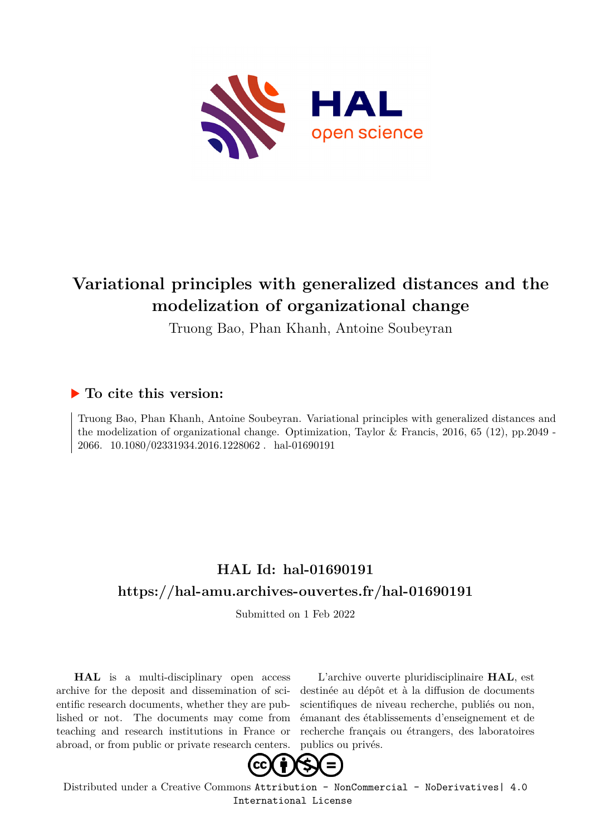

# **Variational principles with generalized distances and the modelization of organizational change**

Truong Bao, Phan Khanh, Antoine Soubeyran

### **To cite this version:**

Truong Bao, Phan Khanh, Antoine Soubeyran. Variational principles with generalized distances and the modelization of organizational change. Optimization, Taylor & Francis, 2016, 65 (12), pp.2049 - 2066.  $10.1080/02331934.2016.1228062$ . hal-01690191

## **HAL Id: hal-01690191 <https://hal-amu.archives-ouvertes.fr/hal-01690191>**

Submitted on 1 Feb 2022

**HAL** is a multi-disciplinary open access archive for the deposit and dissemination of scientific research documents, whether they are published or not. The documents may come from teaching and research institutions in France or abroad, or from public or private research centers.

L'archive ouverte pluridisciplinaire **HAL**, est destinée au dépôt et à la diffusion de documents scientifiques de niveau recherche, publiés ou non, émanant des établissements d'enseignement et de recherche français ou étrangers, des laboratoires publics ou privés.



Distributed under a Creative Commons [Attribution - NonCommercial - NoDerivatives| 4.0](http://creativecommons.org/licenses/by-nc-nd/4.0/) [International License](http://creativecommons.org/licenses/by-nc-nd/4.0/)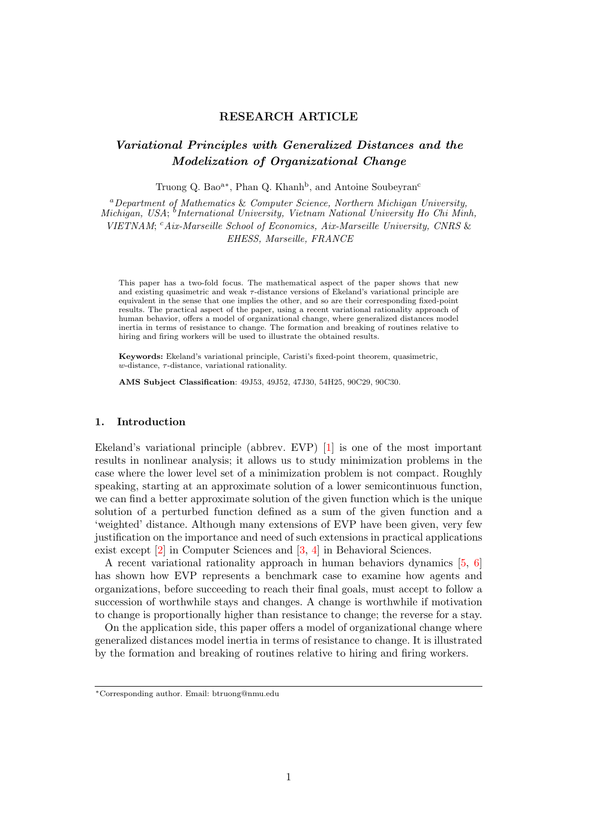#### RESEARCH ARTICLE

### Variational Principles with Generalized Distances and the Modelization of Organizational Change

Truong Q. Bao<sup>a\*</sup>, Phan Q. Khanh<sup>b</sup>, and Antoine Soubeyran<sup>c</sup>

<sup>a</sup>Department of Mathematics & Computer Science, Northern Michigan University, Michigan, USA; <sup>b</sup>International University, Vietnam National University Ho Chi Minh, VIETNAM; <sup>c</sup>Aix-Marseille School of Economics, Aix-Marseille University, CNRS & EHESS, Marseille, FRANCE

This paper has a two-fold focus. The mathematical aspect of the paper shows that new and existing quasimetric and weak τ-distance versions of Ekeland's variational principle are equivalent in the sense that one implies the other, and so are their corresponding fixed-point results. The practical aspect of the paper, using a recent variational rationality approach of human behavior, offers a model of organizational change, where generalized distances model inertia in terms of resistance to change. The formation and breaking of routines relative to hiring and firing workers will be used to illustrate the obtained results.

Keywords: Ekeland's variational principle, Caristi's fixed-point theorem, quasimetric,  $w$ -distance,  $\tau$ -distance, variational rationality.

AMS Subject Classification: 49J53, 49J52, 47J30, 54H25, 90C29, 90C30.

#### 1. Introduction

Ekeland's variational principle (abbrev. EVP) [1] is one of the most important results in nonlinear analysis; it allows us to study minimization problems in the case where the lower level set of a minimization problem is not compact. Roughly speaking, starting at an approximate solution of a lower semicontinuous function, we can find a better approximate solution of the given function which is the unique solution of a perturbed function defined as a sum of the given function and a 'weighted' distance. Although many extensions of EVP have been given, very few justification on the importance and need of such extensions in practical applications exist except [2] in Computer Sciences and [3, 4] in Behavioral Sciences.

A recent variational rationality approach in human behaviors dynamics [5, 6] has shown how EVP represents a benchmark case to examine how agents and organizations, before succeeding to reach their final goals, must accept to follow a succession of worthwhile stays and changes. A change is worthwhile if motivation to change is proportionally higher than resistance to change; the reverse for a stay.

On the application side, this paper offers a model of organizational change where generalized distances model inertia in terms of resistance to change. It is illustrated by the formation and breaking of routines relative to hiring and firing workers.

<sup>∗</sup>Corresponding author. Email: btruong@nmu.edu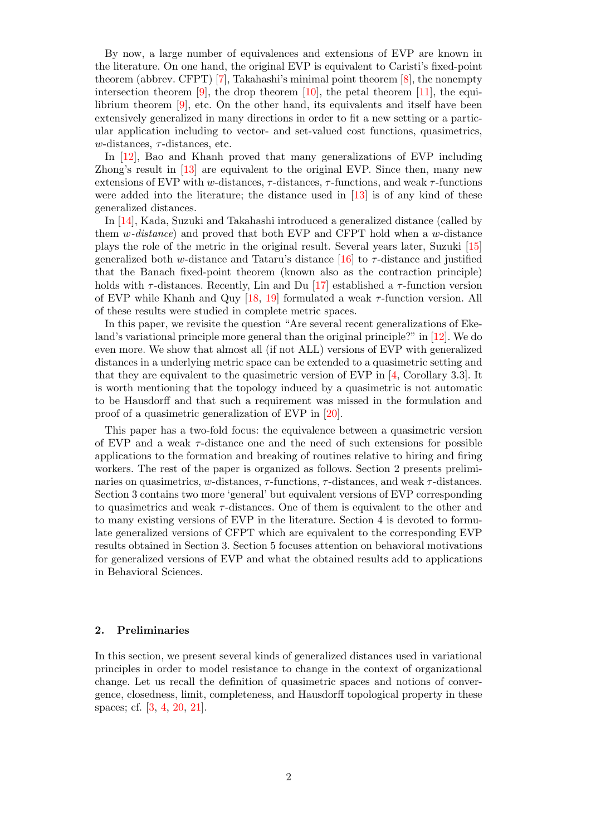By now, a large number of equivalences and extensions of EVP are known in the literature. On one hand, the original EVP is equivalent to Caristi's fixed-point theorem (abbrev. CFPT) [7], Takahashi's minimal point theorem [8], the nonempty intersection theorem  $[9]$ , the drop theorem  $[10]$ , the petal theorem  $[11]$ , the equilibrium theorem [9], etc. On the other hand, its equivalents and itself have been extensively generalized in many directions in order to fit a new setting or a particular application including to vector- and set-valued cost functions, quasimetrics, w-distances,  $\tau$ -distances, etc.

In [12], Bao and Khanh proved that many generalizations of EVP including Zhong's result in [13] are equivalent to the original EVP. Since then, many new extensions of EVP with w-distances,  $\tau$ -distances,  $\tau$ -functions, and weak  $\tau$ -functions were added into the literature; the distance used in [13] is of any kind of these generalized distances.

In [14], Kada, Suzuki and Takahashi introduced a generalized distance (called by them  $w\text{-}distance$  and proved that both EVP and CFPT hold when a  $w\text{-}distance$ plays the role of the metric in the original result. Several years later, Suzuki [15] generalized both w-distance and Tataru's distance  $[16]$  to  $\tau$ -distance and justified that the Banach fixed-point theorem (known also as the contraction principle) holds with  $\tau$ -distances. Recently, Lin and Du [17] established a  $\tau$ -function version of EVP while Khanh and Quy [18, 19] formulated a weak  $\tau$ -function version. All of these results were studied in complete metric spaces.

In this paper, we revisite the question "Are several recent generalizations of Ekeland's variational principle more general than the original principle?" in [12]. We do even more. We show that almost all (if not ALL) versions of EVP with generalized distances in a underlying metric space can be extended to a quasimetric setting and that they are equivalent to the quasimetric version of EVP in [4, Corollary 3.3]. It is worth mentioning that the topology induced by a quasimetric is not automatic to be Hausdorff and that such a requirement was missed in the formulation and proof of a quasimetric generalization of EVP in [20].

This paper has a two-fold focus: the equivalence between a quasimetric version of EVP and a weak  $\tau$ -distance one and the need of such extensions for possible applications to the formation and breaking of routines relative to hiring and firing workers. The rest of the paper is organized as follows. Section 2 presents preliminaries on quasimetrics, w-distances,  $\tau$ -functions,  $\tau$ -distances, and weak  $\tau$ -distances. Section 3 contains two more 'general' but equivalent versions of EVP corresponding to quasimetrics and weak  $\tau$ -distances. One of them is equivalent to the other and to many existing versions of EVP in the literature. Section 4 is devoted to formulate generalized versions of CFPT which are equivalent to the corresponding EVP results obtained in Section 3. Section 5 focuses attention on behavioral motivations for generalized versions of EVP and what the obtained results add to applications in Behavioral Sciences.

#### 2. Preliminaries

In this section, we present several kinds of generalized distances used in variational principles in order to model resistance to change in the context of organizational change. Let us recall the definition of quasimetric spaces and notions of convergence, closedness, limit, completeness, and Hausdorff topological property in these spaces; cf. [3, 4, 20, 21].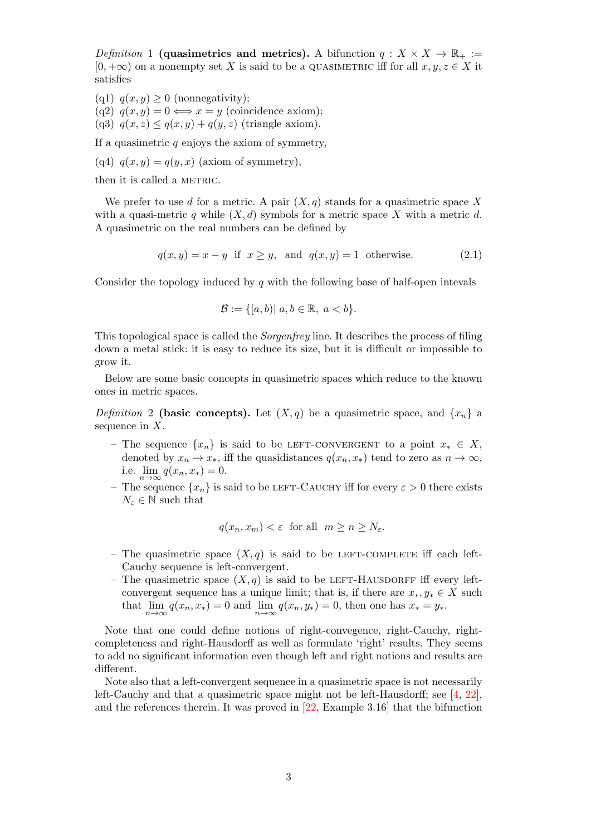*Definition* 1 (quasimetrics and metrics). A bifunction  $q: X \times X \to \mathbb{R}_+ :=$  $[0, +\infty)$  on a nonempty set X is said to be a QUASIMETRIC iff for all  $x, y, z \in X$  it satisfies

(q1)  $q(x, y) \geq 0$  (nonnegativity);

(q2)  $q(x, y) = 0 \Longleftrightarrow x = y$  (coincidence axiom);

(q3)  $q(x, z) \leq q(x, y) + q(y, z)$  (triangle axiom).

If a quasimetric  $q$  enjoys the axiom of symmetry,

(q4)  $q(x, y) = q(y, x)$  (axiom of symmetry),

then it is called a METRIC.

We prefer to use d for a metric. A pair  $(X, q)$  stands for a quasimetric space X with a quasi-metric q while  $(X, d)$  symbols for a metric space X with a metric d. A quasimetric on the real numbers can be defined by

$$
q(x, y) = x - y
$$
if  $x \ge y$ , and  $q(x, y) = 1$  otherwise. (2.1)

Consider the topology induced by  $q$  with the following base of half-open intevals

$$
\mathcal{B} := \{ [a, b) | a, b \in \mathbb{R}, a < b \}.
$$

This topological space is called the Sorgenfrey line. It describes the process of filing down a metal stick: it is easy to reduce its size, but it is difficult or impossible to grow it.

Below are some basic concepts in quasimetric spaces which reduce to the known ones in metric spaces.

Definition 2 (basic concepts). Let  $(X, q)$  be a quasimetric space, and  $\{x_n\}$  a sequence in  $X$ .

- The sequence  $\{x_n\}$  is said to be LEFT-CONVERGENT to a point  $x_* \in X$ , denoted by  $x_n \to x_*$ , iff the quasidistances  $q(x_n, x_*)$  tend to zero as  $n \to \infty$ , i.e.  $\lim_{n\to\infty} q(x_n, x_*) = 0.$
- The sequence  $\{x_n\}$  is said to be LEFT-CAUCHY iff for every  $\varepsilon > 0$  there exists  $N_\varepsilon\in\mathbb{N}$  such that

$$
q(x_n, x_m) < \varepsilon
$$
 for all  $m \ge n \ge N_{\varepsilon}$ .

- The quasimetric space  $(X, q)$  is said to be LEFT-COMPLETE iff each left-Cauchy sequence is left-convergent.
- The quasimetric space  $(X, q)$  is said to be LEFT-HAUSDORFF iff every leftconvergent sequence has a unique limit; that is, if there are  $x_*, y_* \in X$  such that  $\lim_{n \to \infty} q(x_n, x_*) = 0$  and  $\lim_{n \to \infty} q(x_n, y_*) = 0$ , then one has  $x_* = y_*$ .

Note that one could define notions of right-convegence, right-Cauchy, rightcompleteness and right-Hausdorff as well as formulate 'right' results. They seems to add no significant information even though left and right notions and results are different.

Note also that a left-convergent sequence in a quasimetric space is not necessarily left-Cauchy and that a quasimetric space might not be left-Hausdorff; see [4, 22], and the references therein. It was proved in [22, Example 3.16] that the bifunction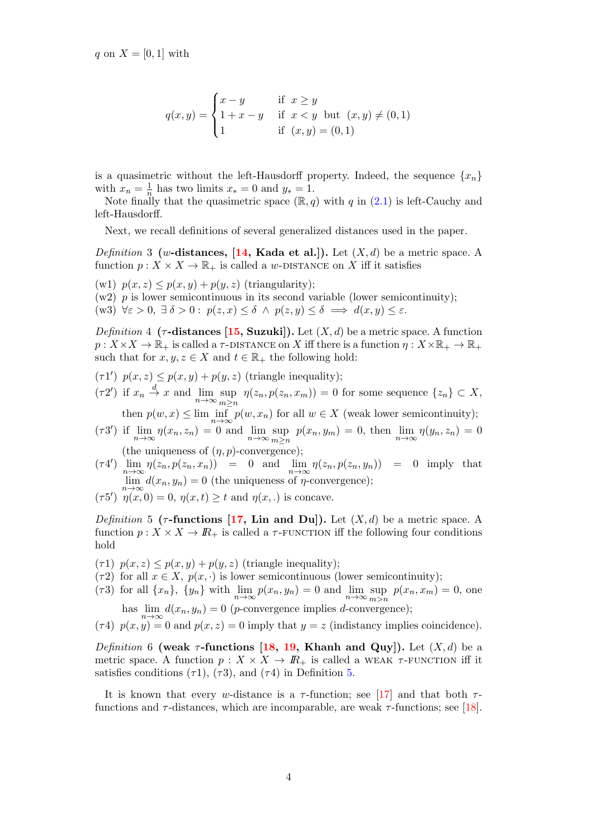$$
q(x,y) = \begin{cases} x - y & \text{if } x \ge y \\ 1 + x - y & \text{if } x < y \text{ but } (x, y) \ne (0, 1) \\ 1 & \text{if } (x, y) = (0, 1) \end{cases}
$$

is a quasimetric without the left-Hausdorff property. Indeed, the sequence  $\{x_n\}$ with  $x_n = \frac{1}{n}$  $\frac{1}{n}$  has two limits  $x_* = 0$  and  $y_* = 1$ .

Note finally that the quasimetric space  $(\mathbb{R}, q)$  with q in  $(2.1)$  is left-Cauchy and left-Hausdorff.

Next, we recall definitions of several generalized distances used in the paper.

*Definition* 3 (w-distances, [14, Kada et al.]). Let  $(X, d)$  be a metric space. A function  $p: X \times X \to \mathbb{R}_+$  is called a w-DISTANCE on X iff it satisfies

- (w1)  $p(x, z) \leq p(x, y) + p(y, z)$  (triangularity);
- $(w2)$  p is lower semicontinuous in its second variable (lower semicontinuity);

(w3)  $\forall \varepsilon > 0, \exists \delta > 0 : p(z, x) \leq \delta \land p(z, y) \leq \delta \implies d(x, y) \leq \varepsilon.$ 

Definition 4 ( $\tau$ -distances [15, Suzuki]). Let  $(X, d)$  be a metric space. A function  $p: X \times X \to \mathbb{R}_+$  is called a  $\tau$ -DISTANCE on X iff there is a function  $\eta: X \times \mathbb{R}_+ \to \mathbb{R}_+$ such that for  $x, y, z \in X$  and  $t \in \mathbb{R}_+$  the following hold:

- $(\tau 1')$   $p(x, z) \leq p(x, y) + p(y, z)$  (triangle inequality);
- $(\tau 2')$  if  $x_n \stackrel{d}{\rightarrow} x$  and  $\lim_{n \to \infty} \sup_{m > n}$  $\sup_{m\geq n} \eta(z_n, p(z_n, x_m)) = 0$  for some sequence  $\{z_n\} \subset X$ ,

then  $p(w, x) \le \lim \inf_{n \to \infty} p(w, x_n)$  for all  $w \in X$  (weak lower semicontinuity);

- $(\tau 3')$  if  $\lim_{n \to \infty} \eta(x_n, z_n) = 0$  and  $\lim_{n \to \infty} \sup_{m > n}$  $\sup_{m\geq n} p(x_n, y_m) = 0$ , then  $\lim_{n\to\infty} \eta(y_n, z_n) = 0$ (the uniqueness of  $(\eta, p)$ -convergence);
- $(\tau 4') \lim_{n \to \infty} \eta(z_n, p(z_n, x_n)) = 0$  and  $\lim_{n \to \infty} \eta(z_n, p(z_n, y_n)) = 0$  imply that  $\lim_{n\to\infty} d(x_n, y_n) = 0$  (the uniqueness of  $\eta$ -convergence);
- ( $\tau 5'$ )  $\eta(x,0) = 0$ ,  $\eta(x,t) \geq t$  and  $\eta(x,.)$  is concave.

Definition 5 ( $\tau$ -functions [17, Lin and Du]). Let  $(X, d)$  be a metric space. A function  $p: X \times X \to \mathbb{R}_+$  is called a  $\tau$ -FUNCTION iff the following four conditions hold

- $(\tau 1)$   $p(x, z) \leq p(x, y) + p(y, z)$  (triangle inequality);
- ( $\tau$ 2) for all  $x \in X$ ,  $p(x, \cdot)$  is lower semicontinuous (lower semicontinuity);
- ( $\tau$ 3) for all  $\{x_n\}$ ,  $\{y_n\}$  with  $\lim_{n\to\infty} p(x_n, y_n) = 0$  and  $\lim_{n\to\infty} \sup_{m>n}$  $\sup_{m>n} p(x_n, x_m) = 0$ , one

has  $\lim_{n\to\infty} d(x_n, y_n) = 0$  (*p*-convergence implies *d*-convergence); (τ4)  $p(x, y) = 0$  and  $p(x, z) = 0$  imply that  $y = z$  (indistancy implies coincidence).

Definition 6 (weak  $\tau$ -functions [18, 19, Khanh and Quy]). Let  $(X, d)$  be a metric space. A function  $p: X \times X \to \mathbb{R}_+$  is called a WEAK  $\tau$ -FUNCTION iff it satisfies conditions ( $\tau$ 1), ( $\tau$ 3), and ( $\tau$ 4) in Definition 5.

It is known that every w-distance is a  $\tau$ -function; see [17] and that both  $\tau$ functions and  $\tau$ -distances, which are incomparable, are weak  $\tau$ -functions; see [18].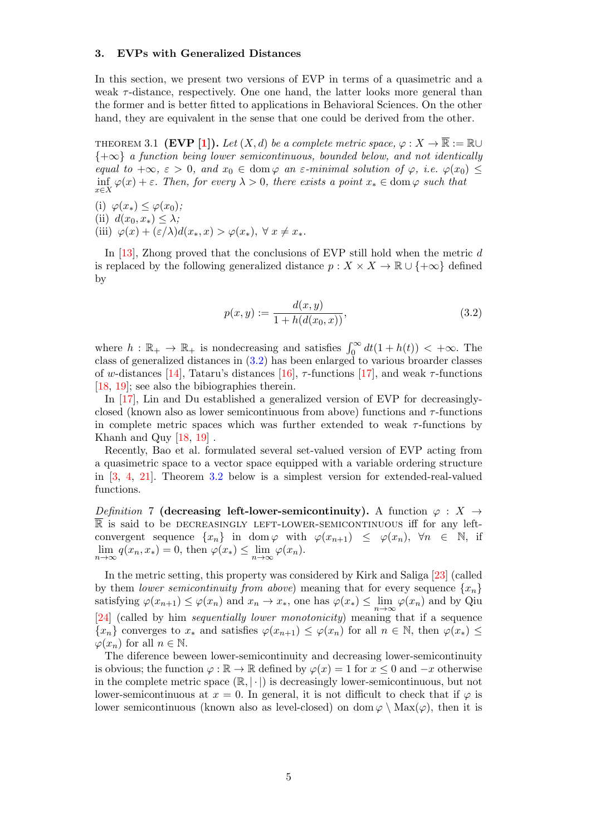#### 3. EVPs with Generalized Distances

In this section, we present two versions of EVP in terms of a quasimetric and a weak  $\tau$ -distance, respectively. One one hand, the latter looks more general than the former and is better fitted to applications in Behavioral Sciences. On the other hand, they are equivalent in the sense that one could be derived from the other.

THEOREM 3.1 (EVP [1]). Let  $(X, d)$  be a complete metric space,  $\varphi : X \to \overline{\mathbb{R}} := \mathbb{R} \cup$  ${+\infty}$  a function being lower semicontinuous, bounded below, and not identically equal to  $+\infty$ ,  $\varepsilon > 0$ , and  $x_0 \in \text{dom}\,\varphi$  an  $\varepsilon$ -minimal solution of  $\varphi$ , i.e.  $\varphi(x_0) \leq$ inf  $\varphi(x) + \varepsilon$ . Then, for every  $\lambda > 0$ , there exists a point  $x_* \in \text{dom } \varphi$  such that

(i)  $\varphi(x_*) \leq \varphi(x_0);$ 

(ii)  $d(x_0, x_*) \leq \lambda$ ;

(iii)  $\varphi(x) + (\varepsilon/\lambda)d(x_*,x) > \varphi(x_*), \ \forall \ x \neq x_*$ .

In [13], Zhong proved that the conclusions of EVP still hold when the metric  $d$ is replaced by the following generalized distance  $p : X \times X \to \mathbb{R} \cup \{+\infty\}$  defined by

$$
p(x,y) := \frac{d(x,y)}{1 + h(d(x_0, x))},
$$
\n(3.2)

where  $h : \mathbb{R}_+ \to \mathbb{R}_+$  is nondecreasing and satisfies  $\int_0^\infty dt (1 + h(t)) < +\infty$ . The class of generalized distances in (3.2) has been enlarged to various broarder classes of w-distances [14], Tataru's distances [16],  $\tau$ -functions [17], and weak  $\tau$ -functions [18, 19]; see also the bibiographies therein.

In [17], Lin and Du established a generalized version of EVP for decreasinglyclosed (known also as lower semicontinuous from above) functions and  $\tau$ -functions in complete metric spaces which was further extended to weak  $\tau$ -functions by Khanh and Quy  $[18, 19]$ .

Recently, Bao et al. formulated several set-valued version of EVP acting from a quasimetric space to a vector space equipped with a variable ordering structure in [3, 4, 21]. Theorem 3.2 below is a simplest version for extended-real-valued functions.

Definition 7 (decreasing left-lower-semicontinuity). A function  $\varphi : X \rightarrow$ R is said to be DECREASINGLY LEFT-LOWER-SEMICONTINUOUS iff for any leftconvergent sequence  $\{x_n\}$  in dom  $\varphi$  with  $\varphi(x_{n+1}) \leq \varphi(x_n)$ ,  $\forall n \in \mathbb{N}$ , if  $\lim_{n \to \infty} q(x_n, x_*) = 0$ , then  $\varphi(x_*) \leq \lim_{n \to \infty} \varphi(x_n)$ .

In the metric setting, this property was considered by Kirk and Saliga [23] (called by them lower semicontinuity from above) meaning that for every sequence  $\{x_n\}$ satisfying  $\varphi(x_{n+1}) \leq \varphi(x_n)$  and  $x_n \to x_*$ , one has  $\varphi(x_*) \leq \lim_{n \to \infty} \varphi(x_n)$  and by Qiu [24] (called by him sequentially lower monotonicity) meaning that if a sequence  ${x_n}$  converges to  $x_*$  and satisfies  $\varphi(x_{n+1}) \leq \varphi(x_n)$  for all  $n \in \mathbb{N}$ , then  $\varphi(x_*) \leq$  $\varphi(x_n)$  for all  $n \in \mathbb{N}$ .

The diference beween lower-semicontinuity and decreasing lower-semicontinuity is obvious; the function  $\varphi : \mathbb{R} \to \mathbb{R}$  defined by  $\varphi(x) = 1$  for  $x \leq 0$  and  $-x$  otherwise in the complete metric space  $(\mathbb{R}, |\cdot|)$  is decreasingly lower-semicontinuous, but not lower-semicontinuous at  $x = 0$ . In general, it is not difficult to check that if  $\varphi$  is lower semicontinuous (known also as level-closed) on dom  $\varphi \setminus \text{Max}(\varphi)$ , then it is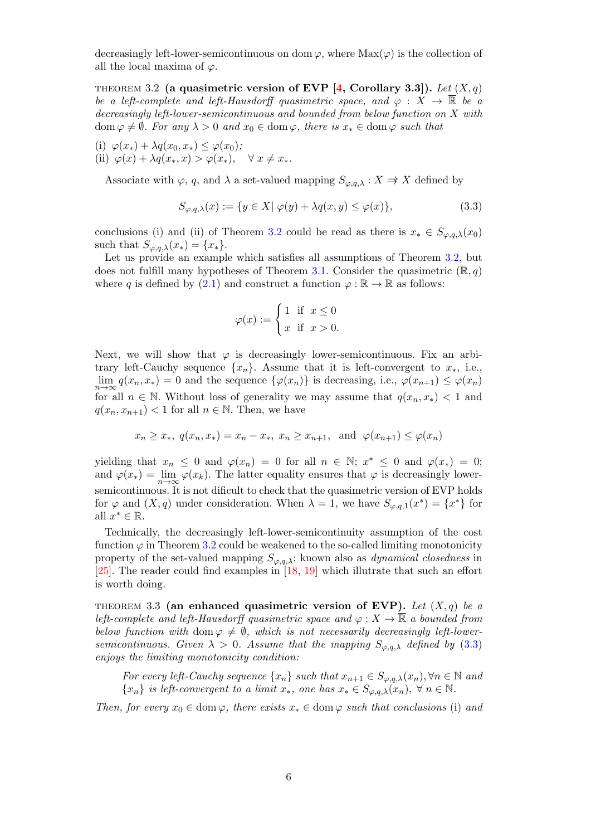decreasingly left-lower-semicontinuous on dom  $\varphi$ , where  $\text{Max}(\varphi)$  is the collection of all the local maxima of  $\varphi$ .

THEOREM 3.2 (a quasimetric version of EVP [4, Corollary 3.3]). Let  $(X, q)$ be a left-complete and left-Hausdorff quasimetric space, and  $\varphi : X \to \overline{\mathbb{R}}$  be a decreasingly left-lower-semicontinuous and bounded from below function on X with  $\text{dom } \varphi \neq \emptyset$ . For any  $\lambda > 0$  and  $x_0 \in \text{dom } \varphi$ , there is  $x_* \in \text{dom } \varphi$  such that

(i)  $\varphi(x_*) + \lambda q(x_0, x_*) \leq \varphi(x_0);$ (ii)  $\varphi(x) + \lambda q(x_*, x) > \varphi(x_*), \quad \forall x \neq x_*$ .

Associate with  $\varphi$ , q, and  $\lambda$  a set-valued mapping  $S_{\varphi,q,\lambda}: X \to X$  defined by

$$
S_{\varphi,q,\lambda}(x) := \{ y \in X | \varphi(y) + \lambda q(x,y) \le \varphi(x) \},\tag{3.3}
$$

conclusions (i) and (ii) of Theorem 3.2 could be read as there is  $x_* \in S_{\varphi,q,\lambda}(x_0)$ such that  $S_{\varphi,q,\lambda}(x_*) = \{x_*\}.$ 

Let us provide an example which satisfies all assumptions of Theorem 3.2, but does not fulfill many hypotheses of Theorem 3.1. Consider the quasimetric  $(\mathbb{R}, q)$ where q is defined by (2.1) and construct a function  $\varphi : \mathbb{R} \to \mathbb{R}$  as follows:

$$
\varphi(x) := \begin{cases} 1 & \text{if } x \le 0 \\ x & \text{if } x > 0. \end{cases}
$$

Next, we will show that  $\varphi$  is decreasingly lower-semicontinuous. Fix an arbitrary left-Cauchy sequence  $\{x_n\}$ . Assume that it is left-convergent to  $x_*$ , i.e.,  $\lim_{n\to\infty} q(x_n, x_*) = 0$  and the sequence  $\{\varphi(x_n)\}\$ is decreasing, i.e.,  $\varphi(x_{n+1}) \leq \varphi(x_n)$ for all  $n \in \mathbb{N}$ . Without loss of generality we may assume that  $q(x_n, x_*) < 1$  and  $q(x_n, x_{n+1}) < 1$  for all  $n \in \mathbb{N}$ . Then, we have

$$
x_n \ge x_*, \ q(x_n, x_*) = x_n - x_*, \ x_n \ge x_{n+1}, \ \text{and} \ \varphi(x_{n+1}) \le \varphi(x_n)
$$

yielding that  $x_n \leq 0$  and  $\varphi(x_n) = 0$  for all  $n \in \mathbb{N}$ ;  $x^* \leq 0$  and  $\varphi(x_*) = 0$ ; and  $\varphi(x_*) = \lim_{n \to \infty} \varphi(x_k)$ . The latter equality ensures that  $\varphi$  is decreasingly lowersemicontinuous. It is not dificult to check that the quasimetric version of EVP holds for  $\varphi$  and  $(X, q)$  under consideration. When  $\lambda = 1$ , we have  $S_{\varphi,q,1}(x^*) = \{x^*\}$  for all  $x^* \in \mathbb{R}$ .

Technically, the decreasingly left-lower-semicontinuity assumption of the cost function  $\varphi$  in Theorem 3.2 could be weakened to the so-called limiting monotonicity property of the set-valued mapping  $S_{\varphi,q,\lambda}$ ; known also as *dynamical closedness* in [25]. The reader could find examples in [18, 19] which illutrate that such an effort is worth doing.

THEOREM 3.3 (an enhanced quasimetric version of EVP). Let  $(X, q)$  be a left-complete and left-Hausdorff quasimetric space and  $\varphi: X \to \overline{\mathbb{R}}$  a bounded from below function with dom  $\varphi \neq \emptyset$ , which is not necessarily decreasingly left-lowersemicontinuous. Given  $\lambda > 0$ . Assume that the mapping  $S_{\varphi,q,\lambda}$  defined by (3.3) enjoys the limiting monotonicity condition:

For every left-Cauchy sequence  $\{x_n\}$  such that  $x_{n+1} \in S_{\varphi,q,\lambda}(x_n), \forall n \in \mathbb{N}$  and  $\{x_n\}$  is left-convergent to a limit  $x_*$ , one has  $x_* \in S_{\varphi,a,\lambda}(x_n)$ ,  $\forall n \in \mathbb{N}$ .

Then, for every  $x_0 \in \text{dom}\,\varphi$ , there exists  $x_* \in \text{dom}\,\varphi$  such that conclusions (i) and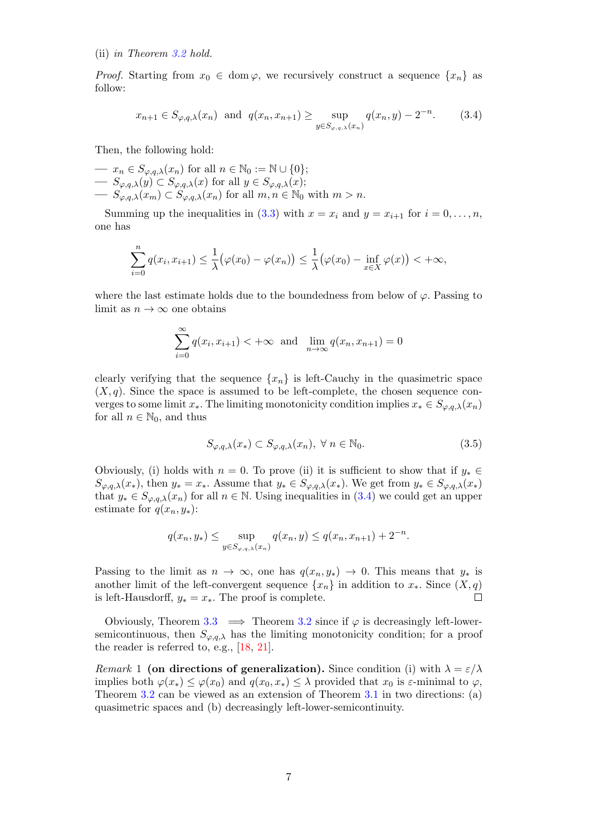(ii) in Theorem 3.2 hold.

*Proof.* Starting from  $x_0 \in \text{dom } \varphi$ , we recursively construct a sequence  $\{x_n\}$  as follow:

$$
x_{n+1} \in S_{\varphi,q,\lambda}(x_n) \text{ and } q(x_n, x_{n+1}) \ge \sup_{y \in S_{\varphi,q,\lambda}(x_n)} q(x_n, y) - 2^{-n}.
$$
 (3.4)

Then, the following hold:

 $\longrightarrow x_n \in S_{\varphi,q,\lambda}(x_n)$  for all  $n \in \mathbb{N}_0 := \mathbb{N} \cup \{0\};$  $\longrightarrow S_{\varphi,q,\lambda}(y) \subset S_{\varphi,q,\lambda}(x)$  for all  $y \in S_{\varphi,q,\lambda}(x)$ ;  $\sum_{\varphi,q,\lambda}(x_m) \subset S_{\varphi,q,\lambda}(x_n)$  for all  $m, n \in \mathbb{N}_0$  with  $m > n$ .

Summing up the inequalities in (3.3) with  $x = x_i$  and  $y = x_{i+1}$  for  $i = 0, \ldots, n$ , one has

$$
\sum_{i=0}^{n} q(x_i, x_{i+1}) \leq \frac{1}{\lambda} \big(\varphi(x_0) - \varphi(x_n)\big) \leq \frac{1}{\lambda} \big(\varphi(x_0) - \inf_{x \in X} \varphi(x)\big) < +\infty,
$$

where the last estimate holds due to the boundedness from below of  $\varphi$ . Passing to limit as  $n \to \infty$  one obtains

$$
\sum_{i=0}^{\infty} q(x_i, x_{i+1}) < +\infty \text{ and } \lim_{n \to \infty} q(x_n, x_{n+1}) = 0
$$

clearly verifying that the sequence  ${x_n}$  is left-Cauchy in the quasimetric space  $(X, q)$ . Since the space is assumed to be left-complete, the chosen sequence converges to some limit  $x_*$ . The limiting monotonicity condition implies  $x_* \in S_{\varphi,q,\lambda}(x_n)$ for all  $n \in \mathbb{N}_0$ , and thus

$$
S_{\varphi,q,\lambda}(x_*) \subset S_{\varphi,q,\lambda}(x_n), \ \forall \ n \in \mathbb{N}_0. \tag{3.5}
$$

Obviously, (i) holds with  $n = 0$ . To prove (ii) it is sufficient to show that if  $y_* \in$  $S_{\varphi,q,\lambda}(x_*)$ , then  $y_* = x_*$ . Assume that  $y_* \in S_{\varphi,q,\lambda}(x_*)$ . We get from  $y_* \in S_{\varphi,q,\lambda}(x_*)$ that  $y_* \in S_{\varphi,q,\lambda}(x_n)$  for all  $n \in \mathbb{N}$ . Using inequalities in (3.4) we could get an upper estimate for  $q(x_n, y_*)$ :

$$
q(x_n, y_*) \le \sup_{y \in S_{\varphi, q, \lambda}(x_n)} q(x_n, y) \le q(x_n, x_{n+1}) + 2^{-n}.
$$

Passing to the limit as  $n \to \infty$ , one has  $q(x_n, y_*) \to 0$ . This means that  $y_*$  is another limit of the left-convergent sequence  $\{x_n\}$  in addition to  $x_*$ . Since  $(X, q)$ is left-Hausdorff,  $y_* = x_*$ . The proof is complete.  $\Box$ 

Obviously, Theorem 3.3  $\implies$  Theorem 3.2 since if  $\varphi$  is decreasingly left-lowersemicontinuous, then  $S_{\varphi,a,\lambda}$  has the limiting monotonicity condition; for a proof the reader is referred to, e.g., [18, 21].

Remark 1 (on directions of generalization). Since condition (i) with  $\lambda = \varepsilon/\lambda$ implies both  $\varphi(x_*) \leq \varphi(x_0)$  and  $q(x_0, x_*) \leq \lambda$  provided that  $x_0$  is  $\varepsilon$ -minimal to  $\varphi$ , Theorem 3.2 can be viewed as an extension of Theorem 3.1 in two directions: (a) quasimetric spaces and (b) decreasingly left-lower-semicontinuity.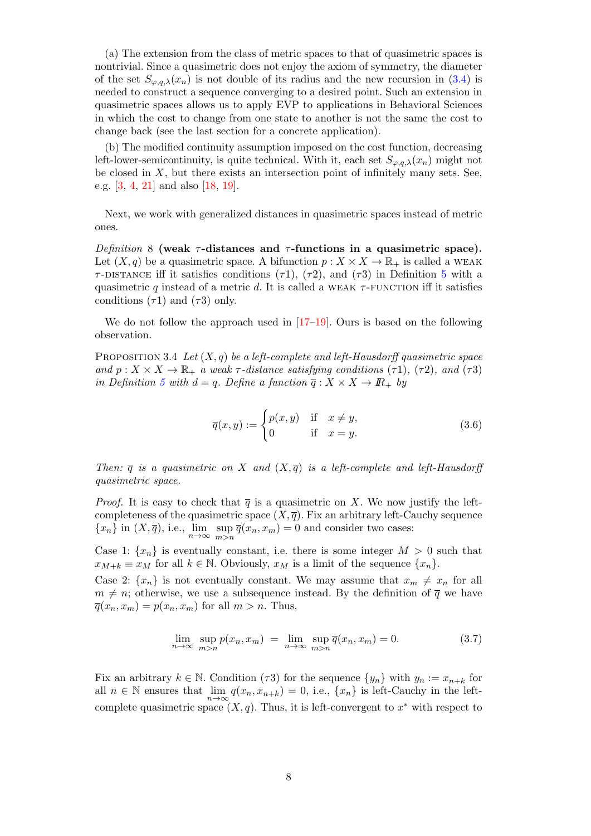(a) The extension from the class of metric spaces to that of quasimetric spaces is nontrivial. Since a quasimetric does not enjoy the axiom of symmetry, the diameter of the set  $S_{\varphi,q,\lambda}(x_n)$  is not double of its radius and the new recursion in (3.4) is needed to construct a sequence converging to a desired point. Such an extension in quasimetric spaces allows us to apply EVP to applications in Behavioral Sciences in which the cost to change from one state to another is not the same the cost to change back (see the last section for a concrete application).

(b) The modified continuity assumption imposed on the cost function, decreasing left-lower-semicontinuity, is quite technical. With it, each set  $S_{\varphi,q,\lambda}(x_n)$  might not be closed in  $X$ , but there exists an intersection point of infinitely many sets. See, e.g. [3, 4, 21] and also [18, 19].

Next, we work with generalized distances in quasimetric spaces instead of metric ones.

Definition 8 (weak  $\tau$ -distances and  $\tau$ -functions in a quasimetric space). Let  $(X, q)$  be a quasimetric space. A bifunction  $p : X \times X \to \mathbb{R}_+$  is called a WEAK  $\tau$ -DISTANCE iff it satisfies conditions ( $\tau$ 1), ( $\tau$ 2), and ( $\tau$ 3) in Definition 5 with a quasimetric q instead of a metric d. It is called a WEAK  $\tau$ -FUNCTION iff it satisfies conditions  $(\tau 1)$  and  $(\tau 3)$  only.

We do not follow the approach used in  $[17-19]$ . Ours is based on the following observation.

PROPOSITION 3.4 Let  $(X, q)$  be a left-complete and left-Hausdorff quasimetric space and  $p: X \times X \to \mathbb{R}_+$  a weak  $\tau$ -distance satisfying conditions  $(\tau 1)$ ,  $(\tau 2)$ , and  $(\tau 3)$ in Definition 5 with  $d = q$ . Define a function  $\overline{q}: X \times X \to \mathbb{R}_+$  by

$$
\overline{q}(x,y) := \begin{cases} p(x,y) & \text{if } x \neq y, \\ 0 & \text{if } x = y. \end{cases}
$$
 (3.6)

Then:  $\overline{q}$  is a quasimetric on X and  $(X,\overline{q})$  is a left-complete and left-Hausdorff quasimetric space.

*Proof.* It is easy to check that  $\bar{q}$  is a quasimetric on X. We now justify the leftcompleteness of the quasimetric space  $(X, \overline{q})$ . Fix an arbitrary left-Cauchy sequence  $\{x_n\}$  in  $(X,\overline{q})$ , i.e.,  $\lim_{n\to\infty} \sup_{m>n}$  $\sup_{m>n} \overline{q}(x_n, x_m) = 0$  and consider two cases:

Case 1:  $\{x_n\}$  is eventually constant, i.e. there is some integer  $M > 0$  such that  $x_{M+k} \equiv x_M$  for all  $k \in \mathbb{N}$ . Obviously,  $x_M$  is a limit of the sequence  $\{x_n\}$ .

Case 2:  $\{x_n\}$  is not eventually constant. We may assume that  $x_m \neq x_n$  for all  $m \neq n$ ; otherwise, we use a subsequence instead. By the definition of  $\overline{q}$  we have  $\overline{q}(x_n, x_m) = p(x_n, x_m)$  for all  $m > n$ . Thus,

$$
\lim_{n \to \infty} \sup_{m > n} p(x_n, x_m) = \lim_{n \to \infty} \sup_{m > n} \overline{q}(x_n, x_m) = 0.
$$
\n(3.7)

Fix an arbitrary  $k \in \mathbb{N}$ . Condition ( $\tau$ 3) for the sequence  $\{y_n\}$  with  $y_n := x_{n+k}$  for all  $n \in \mathbb{N}$  ensures that  $\lim_{n \to \infty} q(x_n, x_{n+k}) = 0$ , i.e.,  $\{x_n\}$  is left-Cauchy in the leftcomplete quasimetric space  $(X, q)$ . Thus, it is left-convergent to  $x^*$  with respect to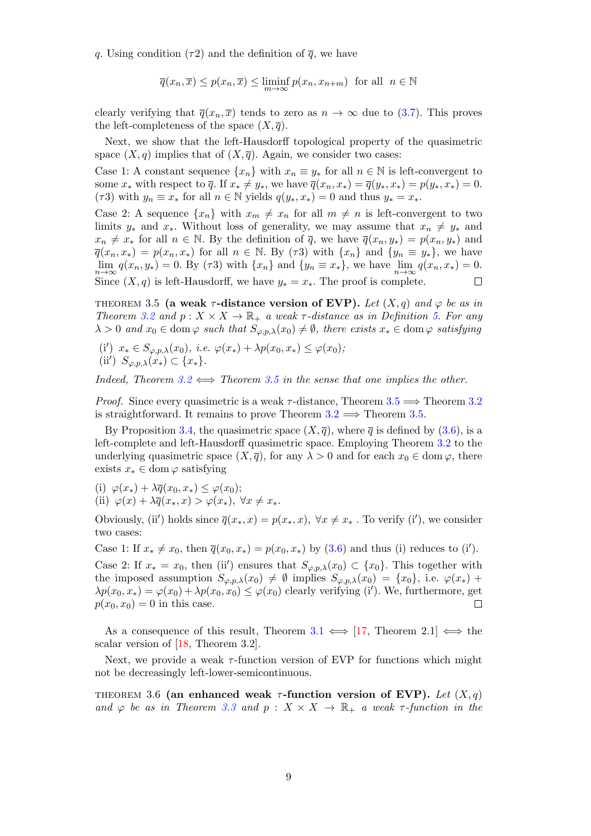q. Using condition ( $\tau$ 2) and the definition of  $\bar{q}$ , we have

$$
\overline{q}(x_n,\overline{x}) \le p(x_n,\overline{x}) \le \liminf_{m \to \infty} p(x_n, x_{n+m}) \text{ for all } n \in \mathbb{N}
$$

clearly verifying that  $\overline{q}(x_n, \overline{x})$  tends to zero as  $n \to \infty$  due to (3.7). This proves the left-completeness of the space  $(X, \overline{q})$ .

Next, we show that the left-Hausdorff topological property of the quasimetric space  $(X, q)$  implies that of  $(X, \overline{q})$ . Again, we consider two cases:

Case 1: A constant sequence  $\{x_n\}$  with  $x_n \equiv y_*$  for all  $n \in \mathbb{N}$  is left-convergent to some  $x_*$  with respect to  $\overline{q}$ . If  $x_* \neq y_*$ , we have  $\overline{q}(x_n, x_*) = \overline{q}(y_*, x_*) = p(y_*, x_*) = 0$ . ( $\tau$ 3) with  $y_n \equiv x_*$  for all  $n \in \mathbb{N}$  yields  $q(y_*, x_*) = 0$  and thus  $y_* = x_*$ .

Case 2: A sequence  $\{x_n\}$  with  $x_m \neq x_n$  for all  $m \neq n$  is left-convergent to two limits  $y_*$  and  $x_*$ . Without loss of generality, we may assume that  $x_n \neq y_*$  and  $x_n \neq x_*$  for all  $n \in \mathbb{N}$ . By the definition of  $\overline{q}$ , we have  $\overline{q}(x_n, y_*) = p(x_n, y_*)$  and  $\overline{q}(x_n, x_*) = p(x_n, x_*)$  for all  $n \in \mathbb{N}$ . By ( $\tau$ 3) with  $\{x_n\}$  and  $\{y_n \equiv y_*\}$ , we have  $\lim_{n\to\infty} q(x_n, y_*) = 0$ . By ( $\tau 3$ ) with  $\{x_n\}$  and  $\{y_n \equiv x_*\}$ , we have  $\lim_{n\to\infty} q(x_n, x_*) = 0$ . Since  $(X, q)$  is left-Hausdorff, we have  $y_* = x_*$ . The proof is complete.  $\Box$ 

THEOREM 3.5 (a weak  $\tau$ -distance version of EVP). Let  $(X, q)$  and  $\varphi$  be as in Theorem 3.2 and  $p: X \times X \to \mathbb{R}_+$  a weak  $\tau$ -distance as in Definition 5. For any  $\lambda > 0$  and  $x_0 \in \text{dom}\,\varphi$  such that  $S_{\varphi,p,\lambda}(x_0) \neq \emptyset$ , there exists  $x_* \in \text{dom}\,\varphi$  satisfying

(i')  $x_* \in S_{\varphi, p, \lambda}(x_0), \ i.e. \ \varphi(x_*) + \lambda p(x_0, x_*) \leq \varphi(x_0);$ (ii')  $S_{\varphi,p,\lambda}(x_*) \subset \{x_*\}.$ 

Indeed, Theorem 3.2  $\Longleftrightarrow$  Theorem 3.5 in the sense that one implies the other.

*Proof.* Since every quasimetric is a weak  $\tau$ -distance, Theorem 3.5  $\implies$  Theorem 3.2 is straightforward. It remains to prove Theorem  $3.2 \implies$  Theorem 3.5.

By Proposition 3.4, the quasimetric space  $(X,\overline{q})$ , where  $\overline{q}$  is defined by (3.6), is a left-complete and left-Hausdorff quasimetric space. Employing Theorem 3.2 to the underlying quasimetric space  $(X, \overline{q})$ , for any  $\lambda > 0$  and for each  $x_0 \in \text{dom } \varphi$ , there exists  $x_* \in \text{dom } \varphi$  satisfying

(i)  $\varphi(x_*) + \lambda \overline{q}(x_0, x_*) \leq \varphi(x_0);$ (ii)  $\varphi(x) + \lambda \overline{q}(x_*, x) > \varphi(x_*), \ \forall x \neq x_*$ .

Obviously, (ii') holds since  $\overline{q}(x_*, x) = p(x_*, x)$ ,  $\forall x \neq x_*$ . To verify (i'), we consider two cases:

Case 1: If  $x_* \neq x_0$ , then  $\overline{q}(x_0, x_*) = p(x_0, x_*)$  by (3.6) and thus (i) reduces to (i'). Case 2: If  $x_* = x_0$ , then (ii') ensures that  $S_{\varphi, p, \lambda}(x_0) \subset \{x_0\}$ . This together with the imposed assumption  $S_{\varphi,p,\lambda}(x_0) \neq \emptyset$  implies  $S_{\varphi,p,\lambda}(x_0) = \{x_0\}$ , i.e.  $\varphi(x_*)$  +  $\lambda p(x_0, x_*) = \varphi(x_0) + \lambda p(x_0, x_0) \leq \varphi(x_0)$  clearly verifying (i'). We, furthermore, get  $p(x_0, x_0) = 0$  in this case.  $\Box$ 

As a consequence of this result, Theorem 3.1  $\iff$  [17, Theorem 2.1]  $\iff$  the scalar version of [18, Theorem 3.2].

Next, we provide a weak  $\tau$ -function version of EVP for functions which might not be decreasingly left-lower-semicontinuous.

THEOREM 3.6 (an enhanced weak  $\tau$ -function version of EVP). Let  $(X, q)$ and  $\varphi$  be as in Theorem 3.3 and  $p : X \times X \to \mathbb{R}_+$  a weak  $\tau$ -function in the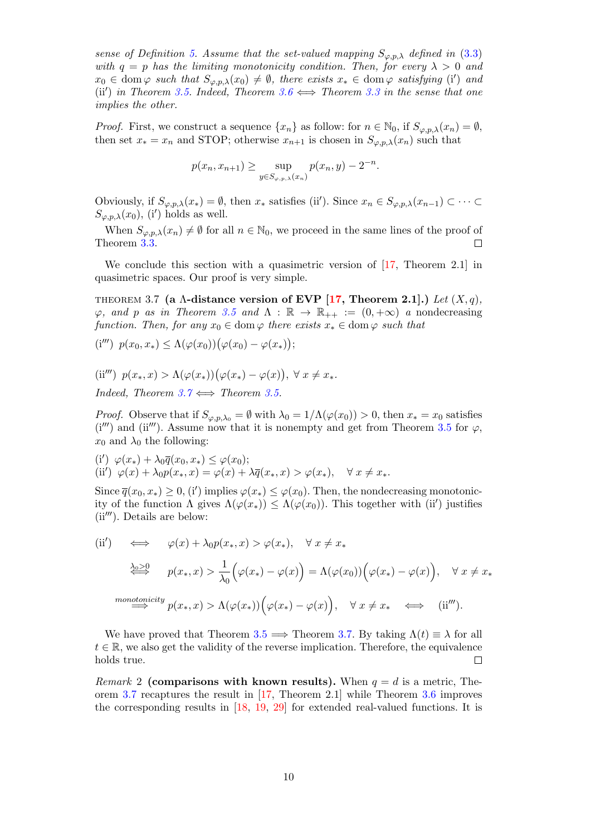sense of Definition 5. Assume that the set-valued mapping  $S_{\varphi,p,\lambda}$  defined in (3.3) with  $q = p$  has the limiting monotonicity condition. Then, for every  $\lambda > 0$  and  $x_0 \in \text{dom}\,\varphi$  such that  $S_{\varphi,p,\lambda}(x_0) \neq \emptyset$ , there exists  $x_* \in \text{dom}\,\varphi$  satisfying (i) and (ii') in Theorem 3.5. Indeed, Theorem 3.6  $\Longleftrightarrow$  Theorem 3.3 in the sense that one implies the other.

*Proof.* First, we construct a sequence  $\{x_n\}$  as follow: for  $n \in \mathbb{N}_0$ , if  $S_{\varphi, p, \lambda}(x_n) = \emptyset$ , then set  $x_* = x_n$  and STOP; otherwise  $x_{n+1}$  is chosen in  $S_{\varphi, p,\lambda}(x_n)$  such that

$$
p(x_n, x_{n+1}) \ge \sup_{y \in S_{\varphi, p, \lambda}(x_n)} p(x_n, y) - 2^{-n}.
$$

Obviously, if  $S_{\varphi,p,\lambda}(x_*) = \emptyset$ , then  $x_*$  satisfies (ii'). Since  $x_n \in S_{\varphi,p,\lambda}(x_{n-1}) \subset \cdots \subset$  $S_{\varphi,p,\lambda}(x_0)$ , (i') holds as well.

When  $S_{\varphi,p,\lambda}(x_n) \neq \emptyset$  for all  $n \in \mathbb{N}_0$ , we proceed in the same lines of the proof of Theorem 3.3.  $\Box$ 

We conclude this section with a quasimetric version of  $[17,$  Theorem 2.1 in quasimetric spaces. Our proof is very simple.

THEOREM 3.7 (a  $\Lambda$ -distance version of EVP [17, Theorem 2.1].) Let  $(X, q)$ ,  $\varphi$ , and p as in Theorem 3.5 and  $\Lambda : \mathbb{R} \to \mathbb{R}_{++} := (0, +\infty)$  a nondecreasing function. Then, for any  $x_0 \in \text{dom } \varphi$  there exists  $x_* \in \text{dom } \varphi$  such that

$$
(\mathbf{i}''') \ p(x_0, x_*) \le \Lambda(\varphi(x_0))\big(\varphi(x_0) - \varphi(x_*)\big);
$$

$$
(ii''') p(x_*, x) > \Lambda(\varphi(x_*))(\varphi(x_*) - \varphi(x)), \ \forall x \neq x_*.
$$

Indeed, Theorem  $3.7 \Leftrightarrow$  Theorem 3.5.

*Proof.* Observe that if  $S_{\varphi,p,\lambda_0} = \emptyset$  with  $\lambda_0 = 1/\Lambda(\varphi(x_0)) > 0$ , then  $x_* = x_0$  satisfies  $(i''')$  and (ii<sup>'''</sup>). Assume now that it is nonempty and get from Theorem 3.5 for  $\varphi$ ,  $x_0$  and  $\lambda_0$  the following:

(i')  $\varphi(x_*) + \lambda_0 \overline{q}(x_0, x_*) \leq \varphi(x_0);$ (ii')  $\varphi(x) + \lambda_0 p(x_*, x) = \varphi(x) + \lambda \overline{q}(x_*, x) > \varphi(x_*)$ ,  $\forall x \neq x_*$ .

Since  $\overline{q}(x_0, x_*) \geq 0$ , (i') implies  $\varphi(x_*) \leq \varphi(x_0)$ . Then, the nondecreasing monotonicity of the function  $\Lambda$  gives  $\Lambda(\varphi(x_{\ast})) \leq \Lambda(\varphi(x_0))$ . This together with (ii') justifies  $(ii''')$ . Details are below:

(ii') 
$$
\iff \varphi(x) + \lambda_0 p(x_*, x) > \varphi(x_*)
$$
,  $\forall x \neq x_*$   
\n
$$
\xrightarrow{\lambda_0 \geq 0} p(x_*, x) > \frac{1}{\lambda_0} (\varphi(x_*) - \varphi(x)) = \Lambda(\varphi(x_0)) (\varphi(x_*) - \varphi(x)), \quad \forall x \neq x_*
$$
\n
$$
\xrightarrow{monotonicity} p(x_*, x) > \Lambda(\varphi(x_*)) (\varphi(x_*) - \varphi(x)), \quad \forall x \neq x_* \iff \text{(ii''')}.
$$

We have proved that Theorem 3.5  $\implies$  Theorem 3.7. By taking  $\Lambda(t) \equiv \lambda$  for all  $t \in \mathbb{R}$ , we also get the validity of the reverse implication. Therefore, the equivalence holds true.

*Remark* 2 (comparisons with known results). When  $q = d$  is a metric, Theorem 3.7 recaptures the result in [17, Theorem 2.1] while Theorem 3.6 improves the corresponding results in [18, 19, 29] for extended real-valued functions. It is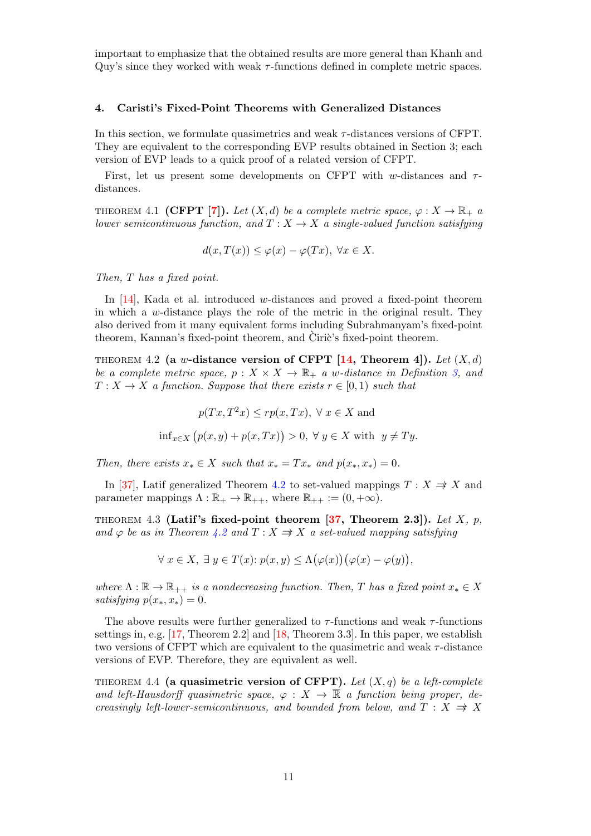important to emphasize that the obtained results are more general than Khanh and Quy's since they worked with weak  $\tau$ -functions defined in complete metric spaces.

#### 4. Caristi's Fixed-Point Theorems with Generalized Distances

In this section, we formulate quasimetrics and weak τ -distances versions of CFPT. They are equivalent to the corresponding EVP results obtained in Section 3; each version of EVP leads to a quick proof of a related version of CFPT.

First, let us present some developments on CFPT with w-distances and  $\tau$ distances.

THEOREM 4.1 (CFPT [7]). Let  $(X,d)$  be a complete metric space,  $\varphi: X \to \mathbb{R}_+$  a lower semicontinuous function, and  $T : X \to X$  a single-valued function satisfying

$$
d(x,T(x)) \le \varphi(x) - \varphi(Tx), \ \forall x \in X.
$$

Then, T has a fixed point.

In [14], Kada et al. introduced w-distances and proved a fixed-point theorem in which a w-distance plays the role of the metric in the original result. They also derived from it many equivalent forms including Subrahmanyam's fixed-point theorem, Kannan's fixed-point theorem, and Ciric's fixed-point theorem.

THEOREM 4.2 (a w-distance version of CFPT [14, Theorem 4]). Let  $(X, d)$ be a complete metric space,  $p : X \times X \to \mathbb{R}_+$  a w-distance in Definition 3, and  $T: X \to X$  a function. Suppose that there exists  $r \in [0,1)$  such that

$$
p(Tx, T^2x) \le rp(x, Tx), \ \forall \ x \in X \text{ and}
$$
  

$$
\inf_{x \in X} (p(x, y) + p(x, Tx)) > 0, \ \forall \ y \in X \text{ with } \ y \ne Ty.
$$

Then, there exists  $x_* \in X$  such that  $x_* = Tx_*$  and  $p(x_*, x_*) = 0$ .

In [37], Latif generalized Theorem 4.2 to set-valued mappings  $T : X \Rightarrow X$  and parameter mappings  $\Lambda : \mathbb{R}_+ \to \mathbb{R}_{++}$ , where  $\mathbb{R}_{++} := (0, +\infty)$ .

THEOREM 4.3 (Latif's fixed-point theorem  $[37,$  Theorem 2.3]). Let X, p, and  $\varphi$  be as in Theorem 4.2 and  $T : X \Rightarrow X$  a set-valued mapping satisfying

$$
\forall x \in X, \ \exists y \in T(x) : p(x, y) \leq \Lambda(\varphi(x))(\varphi(x) - \varphi(y)),
$$

where  $\Lambda : \mathbb{R} \to \mathbb{R}_{++}$  is a nondecreasing function. Then, T has a fixed point  $x_* \in X$ satisfying  $p(x_*, x_*) = 0$ .

The above results were further generalized to  $\tau$ -functions and weak  $\tau$ -functions settings in, e.g. [17, Theorem 2.2] and [18, Theorem 3.3]. In this paper, we establish two versions of CFPT which are equivalent to the quasimetric and weak  $\tau$ -distance versions of EVP. Therefore, they are equivalent as well.

THEOREM 4.4 (a quasimetric version of CFPT). Let  $(X, q)$  be a left-complete and left-Hausdorff quasimetric space,  $\varphi : X \to \overline{\mathbb{R}}$  a function being proper, decreasingly left-lower-semicontinuous, and bounded from below, and  $T : X \Rightarrow X$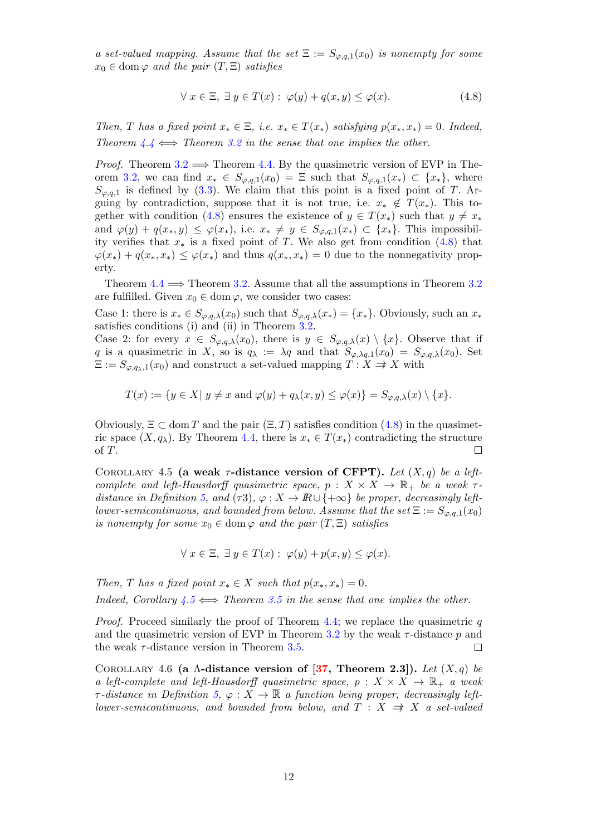a set-valued mapping. Assume that the set  $\Xi := S_{\varphi,q,1}(x_0)$  is nonempty for some  $x_0 \in \text{dom}\,\varphi$  and the pair  $(T,\Xi)$  satisfies

$$
\forall x \in \Xi, \exists y \in T(x) : \varphi(y) + q(x, y) \le \varphi(x). \tag{4.8}
$$

Then, T has a fixed point  $x_* \in \Xi$ , i.e.  $x_* \in T(x_*)$  satisfying  $p(x_*, x_*) = 0$ . Indeed, Theorem  $4.4 \Leftrightarrow$  Theorem 3.2 in the sense that one implies the other.

*Proof.* Theorem 3.2  $\implies$  Theorem 4.4. By the quasimetric version of EVP in Theorem 3.2, we can find  $x_* \in S_{\varphi,q,1}(x_0) = \Xi$  such that  $S_{\varphi,q,1}(x_*) \subset \{x_*\}$ , where  $S_{\varphi,q,1}$  is defined by (3.3). We claim that this point is a fixed point of T. Arguing by contradiction, suppose that it is not true, i.e.  $x_* \notin T(x_*)$ . This together with condition (4.8) ensures the existence of  $y \in T(x_*)$  such that  $y \neq x_*$ and  $\varphi(y) + q(x_*, y) \leq \varphi(x_*),$  i.e.  $x_* \neq y \in S_{\varphi,q,1}(x_*) \subset \{x_*\}.$  This impossibility verifies that  $x_*$  is a fixed point of T. We also get from condition (4.8) that  $\varphi(x_*) + q(x_*, x_*) \leq \varphi(x_*)$  and thus  $q(x_*, x_*) = 0$  due to the nonnegativity property.

Theorem  $4.4 \implies$  Theorem 3.2. Assume that all the assumptions in Theorem 3.2 are fulfilled. Given  $x_0 \in \text{dom } \varphi$ , we consider two cases:

Case 1: there is  $x_* \in S_{\varphi,q,\lambda}(x_0)$  such that  $S_{\varphi,q,\lambda}(x_*) = \{x_*\}.$  Obviously, such an  $x_*$ satisfies conditions (i) and (ii) in Theorem 3.2.

Case 2: for every  $x \in S_{\varphi,q,\lambda}(x_0)$ , there is  $y \in S_{\varphi,q,\lambda}(x) \setminus \{x\}$ . Observe that if q is a quasimetric in X, so is  $q_{\lambda} := \lambda q$  and that  $S_{\varphi, \lambda q,1}(x_0) = S_{\varphi, q, \lambda}(x_0)$ . Set  $\Xi := S_{\varphi,q_{\lambda},1}(x_0)$  and construct a set-valued mapping  $T : X \to X$  with

$$
T(x) := \{ y \in X | y \neq x \text{ and } \varphi(y) + q_\lambda(x, y) \leq \varphi(x) \} = S_{\varphi, q, \lambda}(x) \setminus \{x\}.
$$

Obviously,  $\Xi \subset \text{dom } T$  and the pair  $(\Xi, T)$  satisfies condition (4.8) in the quasimetric space  $(X, q_\lambda)$ . By Theorem 4.4, there is  $x_* \in T(x_*)$  contradicting the structure of T.  $\Box$ 

COROLLARY 4.5 (a weak  $\tau$ -distance version of CFPT). Let  $(X, q)$  be a leftcomplete and left-Hausdorff quasimetric space,  $p : X \times X \to \mathbb{R}_+$  be a weak  $\tau$ distance in Definition 5, and ( $\tau$ 3),  $\varphi: X \to \mathbb{R} \cup \{+\infty\}$  be proper, decreasingly leftlower-semicontinuous, and bounded from below. Assume that the set  $\Xi := S_{\varphi,q,1}(x_0)$ is nonempty for some  $x_0 \in \text{dom } \varphi$  and the pair  $(T, \Xi)$  satisfies

$$
\forall x \in \Xi, \ \exists y \in T(x) : \ \varphi(y) + p(x, y) \le \varphi(x).
$$

Then, T has a fixed point  $x_* \in X$  such that  $p(x_*, x_*) = 0$ . Indeed, Corollary  $\overline{4.5} \Longleftrightarrow$  Theorem 3.5 in the sense that one implies the other.

*Proof.* Proceed similarly the proof of Theorem 4.4; we replace the quasimetric  $q$ and the quasimetric version of EVP in Theorem 3.2 by the weak  $\tau$ -distance p and the weak  $\tau$ -distance version in Theorem 3.5.  $\Box$ 

COROLLARY 4.6 (a  $\Lambda$ -distance version of [37, Theorem 2.3]). Let  $(X, q)$  be a left-complete and left-Hausdorff quasimetric space,  $p : X \times X \to \mathbb{R}_+$  a weak  $\tau$ -distance in Definition 5,  $\varphi: X \to \overline{\mathbb{R}}$  a function being proper, decreasingly leftlower-semicontinuous, and bounded from below, and  $T : X \Rightarrow X$  a set-valued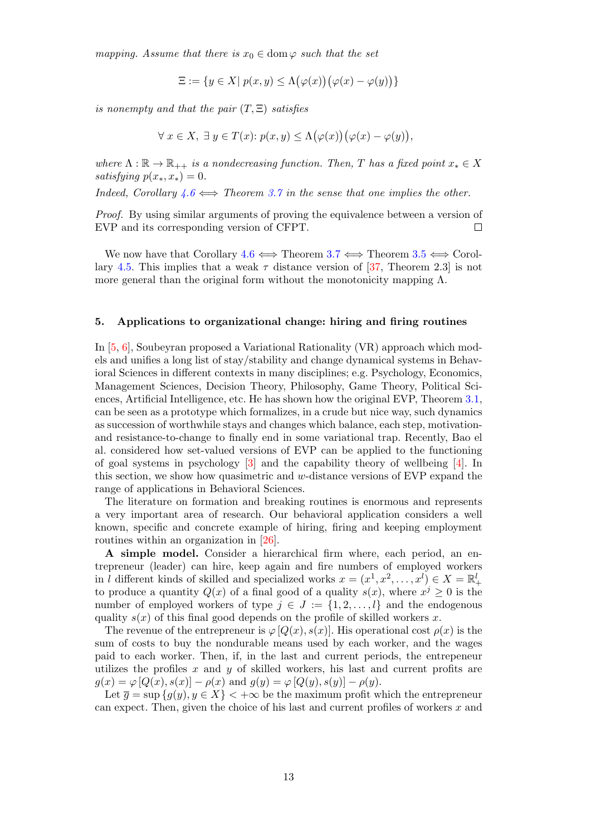mapping. Assume that there is  $x_0 \in \text{dom } \varphi$  such that the set

$$
\Xi := \{ y \in X | \ p(x, y) \le \Lambda(\varphi(x))(\varphi(x) - \varphi(y)) \}
$$

is nonempty and that the pair  $(T, \Xi)$  satisfies

$$
\forall x \in X, \ \exists y \in T(x) : p(x, y) \leq \Lambda(\varphi(x))(\varphi(x) - \varphi(y)),
$$

where  $\Lambda : \mathbb{R} \to \mathbb{R}_{++}$  is a nondecreasing function. Then, T has a fixed point  $x_* \in X$ satisfying  $p(x_*, x_*) = 0$ .

Indeed, Corollary  $4.6 \leftrightarrow$  Theorem 3.7 in the sense that one implies the other.

Proof. By using similar arguments of proving the equivalence between a version of EVP and its corresponding version of CFPT.  $\Box$ 

We now have that Corollary  $4.6 \iff$  Theorem  $3.7 \iff$  Theorem  $3.5 \iff$  Corollary 4.5. This implies that a weak  $\tau$  distance version of [37, Theorem 2.3] is not more general than the original form without the monotonicity mapping  $\Lambda$ .

#### 5. Applications to organizational change: hiring and firing routines

In [5, 6], Soubeyran proposed a Variational Rationality (VR) approach which models and unifies a long list of stay/stability and change dynamical systems in Behavioral Sciences in different contexts in many disciplines; e.g. Psychology, Economics, Management Sciences, Decision Theory, Philosophy, Game Theory, Political Sciences, Artificial Intelligence, etc. He has shown how the original EVP, Theorem 3.1, can be seen as a prototype which formalizes, in a crude but nice way, such dynamics as succession of worthwhile stays and changes which balance, each step, motivationand resistance-to-change to finally end in some variational trap. Recently, Bao el al. considered how set-valued versions of EVP can be applied to the functioning of goal systems in psychology [3] and the capability theory of wellbeing [4]. In this section, we show how quasimetric and w-distance versions of EVP expand the range of applications in Behavioral Sciences.

The literature on formation and breaking routines is enormous and represents a very important area of research. Our behavioral application considers a well known, specific and concrete example of hiring, firing and keeping employment routines within an organization in [26].

A simple model. Consider a hierarchical firm where, each period, an entrepreneur (leader) can hire, keep again and fire numbers of employed workers in l different kinds of skilled and specialized works  $x = (x^1, x^2, \ldots, x^l) \in X = \mathbb{R}^l_+$ to produce a quantity  $Q(x)$  of a final good of a quality  $s(x)$ , where  $x^j \geq 0$  is the number of employed workers of type  $j \in J := \{1, 2, \ldots, l\}$  and the endogenous quality  $s(x)$  of this final good depends on the profile of skilled workers x.

The revenue of the entrepreneur is  $\varphi [Q(x), s(x)]$ . His operational cost  $\rho(x)$  is the sum of costs to buy the nondurable means used by each worker, and the wages paid to each worker. Then, if, in the last and current periods, the entrepeneur utilizes the profiles  $x$  and  $y$  of skilled workers, his last and current profits are  $g(x) = \varphi [Q(x), s(x)] - \rho(x)$  and  $g(y) = \varphi [Q(y), s(y)] - \rho(y)$ .

Let  $\overline{g} = \sup \{g(y), y \in X\}$   $\lt +\infty$  be the maximum profit which the entrepreneur can expect. Then, given the choice of his last and current profiles of workers  $x$  and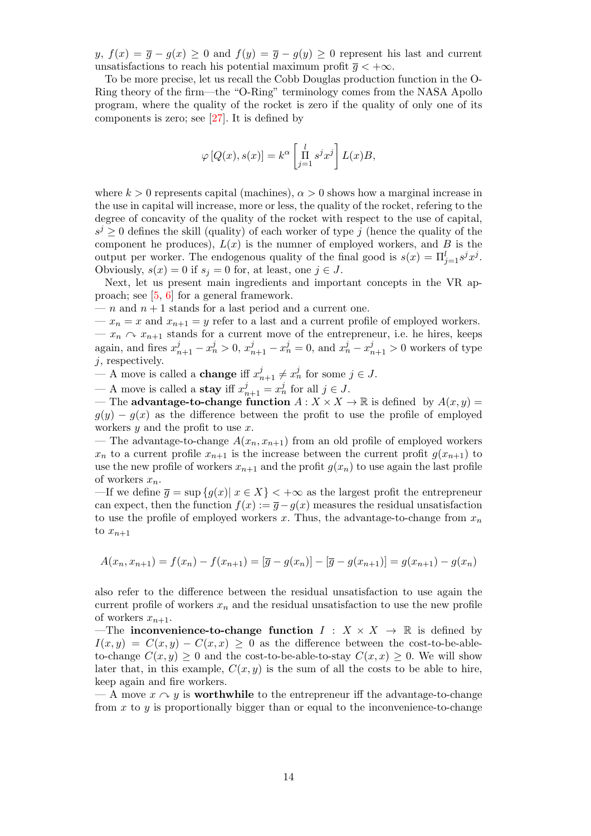$y, f(x) = \overline{g} - g(x) \ge 0$  and  $f(y) = \overline{g} - g(y) \ge 0$  represent his last and current unsatisfactions to reach his potential maximum profit  $\overline{q} < +\infty$ .

To be more precise, let us recall the Cobb Douglas production function in the O-Ring theory of the firm—the "O-Ring" terminology comes from the NASA Apollo program, where the quality of the rocket is zero if the quality of only one of its components is zero; see  $[27]$ . It is defined by

$$
\varphi [Q(x), s(x)] = k^{\alpha} \left[ \prod_{j=1}^{l} s^{j} x^{j} \right] L(x) B,
$$

where  $k > 0$  represents capital (machines),  $\alpha > 0$  shows how a marginal increase in the use in capital will increase, more or less, the quality of the rocket, refering to the degree of concavity of the quality of the rocket with respect to the use of capital,  $s^j \geq 0$  defines the skill (quality) of each worker of type j (hence the quality of the component he produces),  $L(x)$  is the numner of employed workers, and B is the output per worker. The endogenous quality of the final good is  $s(x) = \prod_{j=1}^{l} s^j x^j$ . Obviously,  $s(x) = 0$  if  $s_j = 0$  for, at least, one  $j \in J$ .

Next, let us present main ingredients and important concepts in the VR approach; see [5, 6] for a general framework.

— n and  $n + 1$  stands for a last period and a current one.

 $x_n = x$  and  $x_{n+1} = y$  refer to a last and a current profile of employed workers.  $-x_n \wedge x_{n+1}$  stands for a current move of the entrepreneur, i.e. he hires, keeps again, and fires  $x_{n+1}^j - x_n^j > 0$ ,  $x_{n+1}^j - x_n^j = 0$ , and  $x_n^j - x_{n+1}^j > 0$  workers of type  $j$ , respectively.

A move is called a **change** iff  $x_{n+1}^j \neq x_n^j$  for some  $j \in J$ .

— A move is called a **stay** iff  $x_{n+1}^j = x_n^j$  for all  $j \in J$ .

— The **advantage-to-change function**  $A: X \times X \to \mathbb{R}$  is defined by  $A(x, y) =$  $g(y) - g(x)$  as the difference between the profit to use the profile of employed workers  $y$  and the profit to use  $x$ .

— The advantage-to-change  $A(x_n, x_{n+1})$  from an old profile of employed workers  $x_n$  to a current profile  $x_{n+1}$  is the increase between the current profit  $g(x_{n+1})$  to use the new profile of workers  $x_{n+1}$  and the profit  $g(x_n)$  to use again the last profile of workers  $x_n$ .

—If we define  $\overline{g} = \sup \{g(x) | x \in X\}$   $\lt +\infty$  as the largest profit the entrepreneur can expect, then the function  $f(x) := \overline{g} - g(x)$  measures the residual unsatisfaction to use the profile of employed workers  $x$ . Thus, the advantage-to-change from  $x_n$ to  $x_{n+1}$ 

$$
A(x_n, x_{n+1}) = f(x_n) - f(x_{n+1}) = [\overline{g} - g(x_n)] - [\overline{g} - g(x_{n+1})] = g(x_{n+1}) - g(x_n)
$$

also refer to the difference between the residual unsatisfaction to use again the current profile of workers  $x_n$  and the residual unsatisfaction to use the new profile of workers  $x_{n+1}$ .

—The inconvenience-to-change function  $I : X \times X \to \mathbb{R}$  is defined by  $I(x, y) = C(x, y) - C(x, x) \ge 0$  as the difference between the cost-to-be-ableto-change  $C(x, y) \ge 0$  and the cost-to-be-able-to-stay  $C(x, x) \ge 0$ . We will show later that, in this example,  $C(x, y)$  is the sum of all the costs to be able to hire, keep again and fire workers.

— A move  $x \sim y$  is worthwhile to the entrepreneur iff the advantage-to-change from  $x$  to  $y$  is proportionally bigger than or equal to the inconvenience-to-change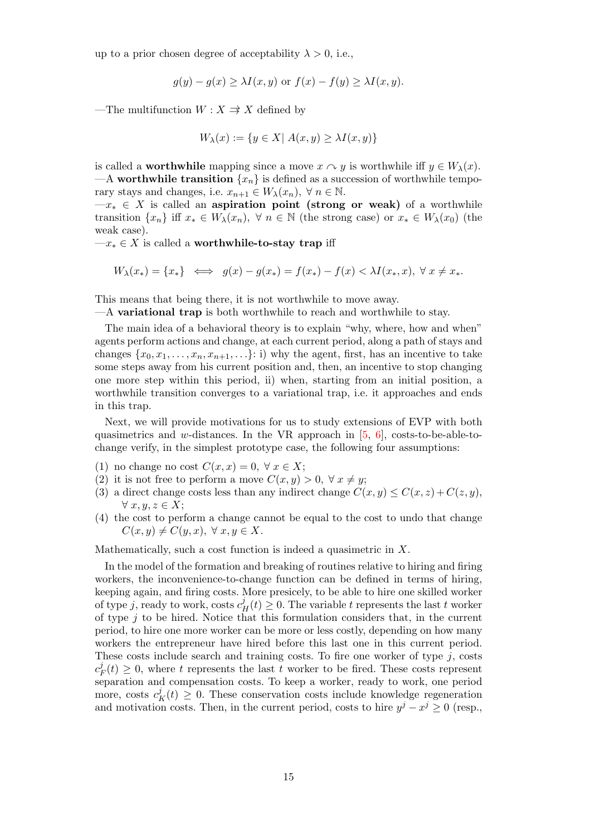up to a prior chosen degree of acceptability  $\lambda > 0$ , i.e.,

$$
g(y) - g(x) \ge \lambda I(x, y) \text{ or } f(x) - f(y) \ge \lambda I(x, y).
$$

—The multifunction  $W : X \Rightarrow X$  defined by

$$
W_{\lambda}(x) := \{ y \in X | \ A(x, y) \ge \lambda I(x, y) \}
$$

is called a **worthwhile** mapping since a move  $x \sim y$  is worthwhile iff  $y \in W_\lambda(x)$ . —A worthwhile transition  $\{x_n\}$  is defined as a succession of worthwhile temporary stays and changes, i.e.  $x_{n+1} \in W_{\lambda}(x_n)$ ,  $\forall n \in \mathbb{N}$ .

 $-x_* \in X$  is called an aspiration point (strong or weak) of a worthwhile transition  $\{x_n\}$  iff  $x_* \in W_\lambda(x_n)$ ,  $\forall n \in \mathbb{N}$  (the strong case) or  $x_* \in W_\lambda(x_0)$  (the weak case).

 $-x_* \in X$  is called a worthwhile-to-stay trap iff

$$
W_{\lambda}(x_{*}) = \{x_{*}\} \iff g(x) - g(x_{*}) = f(x_{*}) - f(x) < \lambda I(x_{*}, x), \ \forall \ x \neq x_{*}.
$$

This means that being there, it is not worthwhile to move away.

 $-A$  variational trap is both worthwhile to reach and worthwhile to stay.

The main idea of a behavioral theory is to explain "why, where, how and when" agents perform actions and change, at each current period, along a path of stays and changes  $\{x_0, x_1, \ldots, x_n, x_{n+1}, \ldots\}$ : i) why the agent, first, has an incentive to take some steps away from his current position and, then, an incentive to stop changing one more step within this period, ii) when, starting from an initial position, a worthwhile transition converges to a variational trap, i.e. it approaches and ends in this trap.

Next, we will provide motivations for us to study extensions of EVP with both quasimetrics and w-distances. In the VR approach in  $[5, 6]$ , costs-to-be-able-tochange verify, in the simplest prototype case, the following four assumptions:

- (1) no change no cost  $C(x, x) = 0, \forall x \in X;$
- (2) it is not free to perform a move  $C(x, y) > 0, \forall x \neq y;$
- (3) a direct change costs less than any indirect change  $C(x, y) \leq C(x, z) + C(z, y)$ ,  $\forall x, y, z \in X;$
- (4) the cost to perform a change cannot be equal to the cost to undo that change  $C(x, y) \neq C(y, x), \forall x, y \in X.$

Mathematically, such a cost function is indeed a quasimetric in  $X$ .

In the model of the formation and breaking of routines relative to hiring and firing workers, the inconvenience-to-change function can be defined in terms of hiring, keeping again, and firing costs. More presicely, to be able to hire one skilled worker of type j, ready to work, costs  $c_H^j(t) \geq 0$ . The variable t represents the last t worker of type  $j$  to be hired. Notice that this formulation considers that, in the current period, to hire one more worker can be more or less costly, depending on how many workers the entrepreneur have hired before this last one in this current period. These costs include search and training costs. To fire one worker of type  $j$ , costs  $c_l^j$  $F(t) \geq 0$ , where t represents the last t worker to be fired. These costs represent separation and compensation costs. To keep a worker, ready to work, one period more, costs  $c_K^j(t) \geq 0$ . These conservation costs include knowledge regeneration and motivation costs. Then, in the current period, costs to hire  $y^j - x^j \geq 0$  (resp.,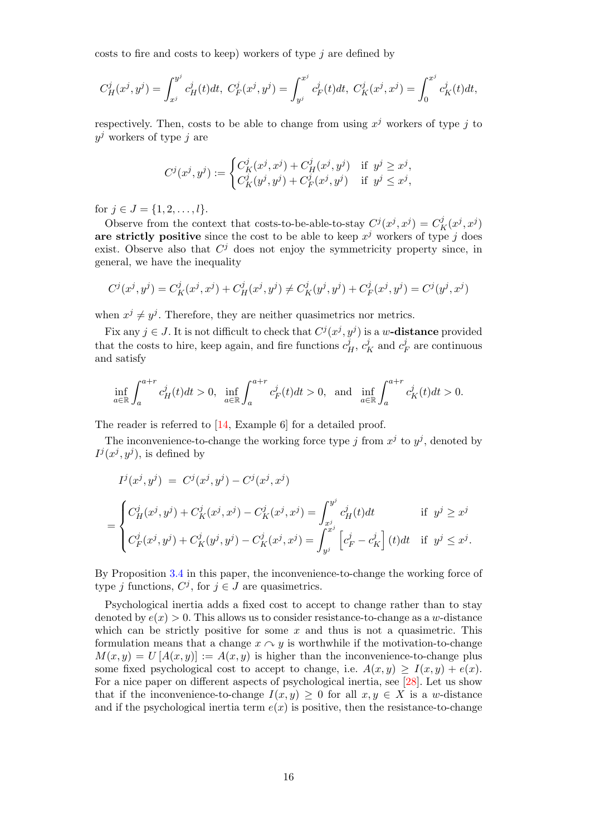costs to fire and costs to keep) workers of type  $j$  are defined by

$$
C_H^j(x^j, y^j) = \int_{x^j}^{y^j} c_H^j(t)dt, \ C_F^j(x^j, y^j) = \int_{y^j}^{x^j} c_F^j(t)dt, \ C_K^j(x^j, x^j) = \int_0^{x^j} c_K^j(t)dt,
$$

respectively. Then, costs to be able to change from using  $x^j$  workers of type j to  $y^j$  workers of type j are

$$
C^{j}(x^{j}, y^{j}) := \begin{cases} C^{j}_{K}(x^{j}, x^{j}) + C^{j}_{H}(x^{j}, y^{j}) & \text{if } y^{j} \geq x^{j}, \\ C^{j}_{K}(y^{j}, y^{j}) + C^{j}_{F}(x^{j}, y^{j}) & \text{if } y^{j} \leq x^{j}, \end{cases}
$$

for  $j \in J = \{1, 2, \ldots, l\}.$ 

Observe from the context that costs-to-be-able-to-stay  $C^{j}(x^{j}, x^{j}) = C^{j}_{K}(x^{j}, x^{j})$ are strictly positive since the cost to be able to keep  $x^j$  workers of type j does exist. Observe also that  $C^j$  does not enjoy the symmetricity property since, in general, we have the inequality

$$
C^{j}(x^{j},y^{j}) = C^{j}_{K}(x^{j},x^{j}) + C^{j}_{H}(x^{j},y^{j}) \neq C^{j}_{K}(y^{j},y^{j}) + C^{j}_{F}(x^{j},y^{j}) = C^{j}(y^{j},x^{j})
$$

when  $x^j \neq y^j$ . Therefore, they are neither quasimetrics nor metrics.

Fix any  $j \in J$ . It is not difficult to check that  $C^{j}(x^{j}, y^{j})$  is a w-**distance** provided that the costs to hire, keep again, and fire functions  $c_H^j$ ,  $c_K^j$  and  $c_I^j$  $E_F^j$  are continuous and satisfy

$$
\inf_{a\in\mathbb{R}}\int_{a}^{a+r}c_H^j(t)dt>0,\;\;\inf_{a\in\mathbb{R}}\int_{a}^{a+r}c_F^j(t)dt>0,\;\text{ and }\;\inf_{a\in\mathbb{R}}\int_{a}^{a+r}c_K^j(t)dt>0.
$$

The reader is referred to [14, Example 6] for a detailed proof.

The inconvenience-to-change the working force type j from  $x^j$  to  $y^j$ , denoted by  $I^j(x^j, y^j)$ , is defined by

$$
I^{j}(x^{j}, y^{j}) = C^{j}(x^{j}, y^{j}) - C^{j}(x^{j}, x^{j})
$$
  
= 
$$
\begin{cases} C^{j}_{H}(x^{j}, y^{j}) + C^{j}_{K}(x^{j}, x^{j}) - C^{j}_{K}(x^{j}, x^{j}) = \int_{x^{j}}^{y^{j}} c^{j}_{H}(t)dt & \text{if } y^{j} \geq x^{j} \\ C^{j}_{F}(x^{j}, y^{j}) + C^{j}_{K}(y^{j}, y^{j}) - C^{j}_{K}(x^{j}, x^{j}) = \int_{y^{j}}^{x^{j}} \left[c^{j}_{F} - c^{j}_{K}\right](t)dt & \text{if } y^{j} \leq x^{j} .\end{cases}
$$

By Proposition 3.4 in this paper, the inconvenience-to-change the working force of type *j* functions,  $C^j$ , for  $j \in J$  are quasimetrics.

Psychological inertia adds a fixed cost to accept to change rather than to stay denoted by  $e(x) > 0$ . This allows us to consider resistance-to-change as a w-distance which can be strictly positive for some  $x$  and thus is not a quasimetric. This formulation means that a change  $x \sim y$  is worthwhile if the motivation-to-change  $M(x, y) = U [A(x, y)] := A(x, y)$  is higher than the inconvenience-to-change plus some fixed psychological cost to accept to change, i.e.  $A(x, y) \geq I(x, y) + e(x)$ . For a nice paper on different aspects of psychological inertia, see [28]. Let us show that if the inconvenience-to-change  $I(x, y) \geq 0$  for all  $x, y \in X$  is a w-distance and if the psychological inertia term  $e(x)$  is positive, then the resistance-to-change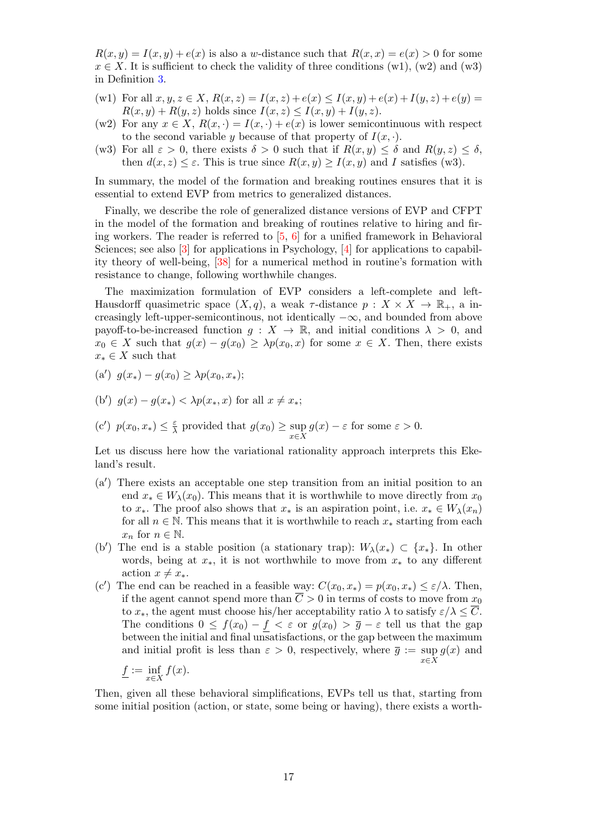$R(x, y) = I(x, y) + e(x)$  is also a w-distance such that  $R(x, x) = e(x) > 0$  for some  $x \in X$ . It is sufficient to check the validity of three conditions (w1), (w2) and (w3) in Definition 3.

- (w1) For all  $x, y, z \in X$ ,  $R(x, z) = I(x, z) + e(x) \leq I(x, y) + e(x) + I(y, z) + e(y) =$  $R(x, y) + R(y, z)$  holds since  $I(x, z) \leq I(x, y) + I(y, z)$ .
- (w2) For any  $x \in X$ ,  $R(x, \cdot) = I(x, \cdot) + e(x)$  is lower semicontinuous with respect to the second variable y because of that property of  $I(x, \cdot)$ .
- (w3) For all  $\varepsilon > 0$ , there exists  $\delta > 0$  such that if  $R(x, y) \leq \delta$  and  $R(y, z) \leq \delta$ , then  $d(x, z) \leq \varepsilon$ . This is true since  $R(x, y) \geq I(x, y)$  and I satisfies (w3).

In summary, the model of the formation and breaking routines ensures that it is essential to extend EVP from metrics to generalized distances.

Finally, we describe the role of generalized distance versions of EVP and CFPT in the model of the formation and breaking of routines relative to hiring and firing workers. The reader is referred to  $\overline{5}$ , 6 for a unified framework in Behavioral Sciences; see also [3] for applications in Psychology, [4] for applications to capability theory of well-being, [38] for a numerical method in routine's formation with resistance to change, following worthwhile changes.

The maximization formulation of EVP considers a left-complete and left-Hausdorff quasimetric space  $(X, q)$ , a weak  $\tau$ -distance  $p : X \times X \to \mathbb{R}_+$ , a increasingly left-upper-semicontinous, not identically  $-\infty$ , and bounded from above payoff-to-be-increased function  $g: X \to \mathbb{R}$ , and initial conditions  $\lambda > 0$ , and  $x_0 \in X$  such that  $g(x) - g(x_0) \geq \lambda p(x_0, x)$  for some  $x \in X$ . Then, there exists  $x_* \in X$  such that

(a') 
$$
g(x_*) - g(x_0) \geq \lambda p(x_0, x_*);
$$

(b') 
$$
g(x) - g(x_*) < \lambda p(x_*, x)
$$
 for all  $x \neq x_*$ ;

(c') 
$$
p(x_0, x_*) \leq \frac{\varepsilon}{\lambda}
$$
 provided that  $g(x_0) \geq \sup_{x \in X} g(x) - \varepsilon$  for some  $\varepsilon > 0$ .

Let us discuss here how the variational rationality approach interprets this Ekeland's result.

- $(a')$  There exists an acceptable one step transition from an initial position to an end  $x_* \in W_\lambda(x_0)$ . This means that it is worthwhile to move directly from  $x_0$ to  $x_*$ . The proof also shows that  $x_*$  is an aspiration point, i.e.  $x_* \in W_\lambda(x_n)$ for all  $n \in \mathbb{N}$ . This means that it is worthwhile to reach  $x_*$  starting from each  $x_n$  for  $n \in \mathbb{N}$ .
- (b') The end is a stable position (a stationary trap):  $W_\lambda(x_*) \subset \{x_*\}.$  In other words, being at  $x_*,$  it is not worthwhile to move from  $x_*$  to any different action  $x \neq x_*$ .
- (c') The end can be reached in a feasible way:  $C(x_0, x_*) = p(x_0, x_*) \leq \varepsilon/\lambda$ . Then, if the agent cannot spend more than  $\overline{C} > 0$  in terms of costs to move from  $x_0$ to  $x_*$ , the agent must choose his/her acceptability ratio  $\lambda$  to satisfy  $\varepsilon/\lambda \leq \overline{C}$ . The conditions  $0 \leq f(x_0) - f < \varepsilon$  or  $g(x_0) > \overline{g} - \varepsilon$  tell us that the gap between the initial and final unsatisfactions, or the gap between the maximum and initial profit is less than  $\varepsilon > 0$ , respectively, where  $\overline{g} := \sup g(x)$  and  $x\in\bar{X}$

$$
\underline{f} := \inf_{x \in X} f(x).
$$

Then, given all these behavioral simplifications, EVPs tell us that, starting from some initial position (action, or state, some being or having), there exists a worth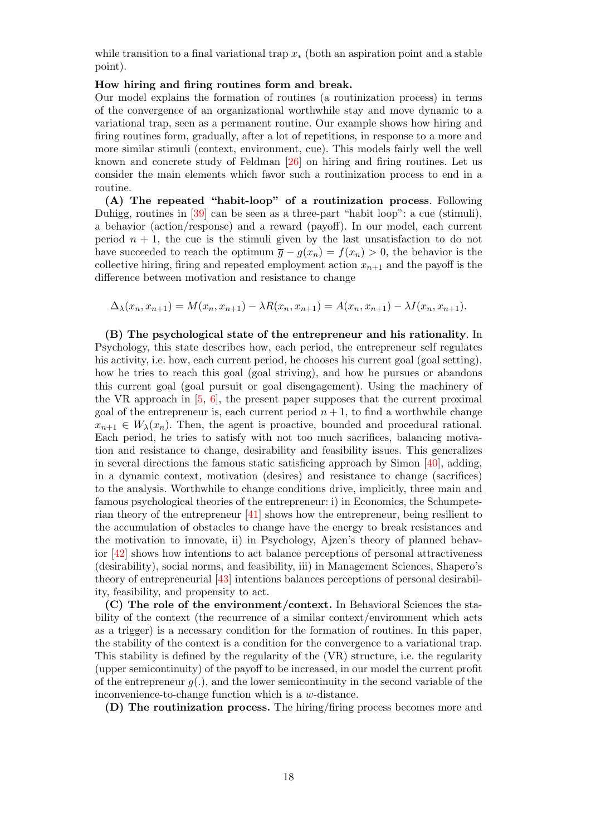while transition to a final variational trap  $x<sub>*</sub>$  (both an aspiration point and a stable point).

#### How hiring and firing routines form and break.

Our model explains the formation of routines (a routinization process) in terms of the convergence of an organizational worthwhile stay and move dynamic to a variational trap, seen as a permanent routine. Our example shows how hiring and firing routines form, gradually, after a lot of repetitions, in response to a more and more similar stimuli (context, environment, cue). This models fairly well the well known and concrete study of Feldman [26] on hiring and firing routines. Let us consider the main elements which favor such a routinization process to end in a routine.

(A) The repeated "habit-loop" of a routinization process. Following Duhigg, routines in [39] can be seen as a three-part "habit loop": a cue (stimuli), a behavior (action/response) and a reward (payoff). In our model, each current period  $n + 1$ , the cue is the stimuli given by the last unsatisfaction to do not have succeeded to reach the optimum  $\bar{g} - g(x_n) = f(x_n) > 0$ , the behavior is the collective hiring, firing and repeated employment action  $x_{n+1}$  and the payoff is the difference between motivation and resistance to change

 $\Delta_{\lambda}(x_n, x_{n+1}) = M(x_n, x_{n+1}) - \lambda R(x_n, x_{n+1}) = A(x_n, x_{n+1}) - \lambda I(x_n, x_{n+1}).$ 

(B) The psychological state of the entrepreneur and his rationality. In Psychology, this state describes how, each period, the entrepreneur self regulates his activity, i.e. how, each current period, he chooses his current goal (goal setting), how he tries to reach this goal (goal striving), and how he pursues or abandons this current goal (goal pursuit or goal disengagement). Using the machinery of the VR approach in  $[5, 6]$ , the present paper supposes that the current proximal goal of the entrepreneur is, each current period  $n + 1$ , to find a worthwhile change  $x_{n+1} \in W_{\lambda}(x_n)$ . Then, the agent is proactive, bounded and procedural rational. Each period, he tries to satisfy with not too much sacrifices, balancing motivation and resistance to change, desirability and feasibility issues. This generalizes in several directions the famous static satisficing approach by Simon [40], adding, in a dynamic context, motivation (desires) and resistance to change (sacrifices) to the analysis. Worthwhile to change conditions drive, implicitly, three main and famous psychological theories of the entrepreneur: i) in Economics, the Schumpeterian theory of the entrepreneur [41] shows how the entrepreneur, being resilient to the accumulation of obstacles to change have the energy to break resistances and the motivation to innovate, ii) in Psychology, Ajzen's theory of planned behavior [42] shows how intentions to act balance perceptions of personal attractiveness (desirability), social norms, and feasibility, iii) in Management Sciences, Shapero's theory of entrepreneurial [43] intentions balances perceptions of personal desirability, feasibility, and propensity to act.

(C) The role of the environment/context. In Behavioral Sciences the stability of the context (the recurrence of a similar context/environment which acts as a trigger) is a necessary condition for the formation of routines. In this paper, the stability of the context is a condition for the convergence to a variational trap. This stability is defined by the regularity of the (VR) structure, i.e. the regularity (upper semicontinuity) of the payoff to be increased, in our model the current profit of the entrepreneur  $q(.)$ , and the lower semicontinuity in the second variable of the inconvenience-to-change function which is a w-distance.

(D) The routinization process. The hiring/firing process becomes more and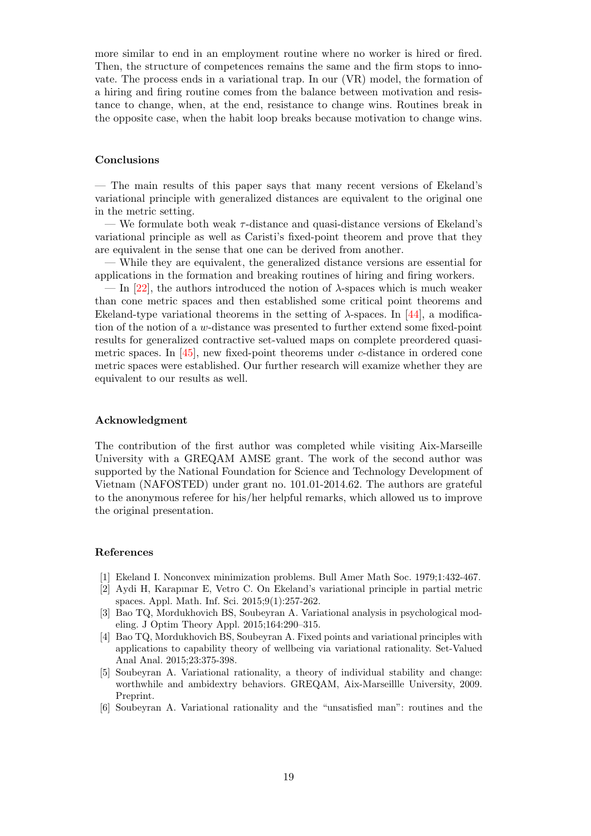more similar to end in an employment routine where no worker is hired or fired. Then, the structure of competences remains the same and the firm stops to innovate. The process ends in a variational trap. In our (VR) model, the formation of a hiring and firing routine comes from the balance between motivation and resistance to change, when, at the end, resistance to change wins. Routines break in the opposite case, when the habit loop breaks because motivation to change wins.

#### Conclusions

— The main results of this paper says that many recent versions of Ekeland's variational principle with generalized distances are equivalent to the original one in the metric setting.

— We formulate both weak  $\tau$ -distance and quasi-distance versions of Ekeland's variational principle as well as Caristi's fixed-point theorem and prove that they are equivalent in the sense that one can be derived from another.

— While they are equivalent, the generalized distance versions are essential for applications in the formation and breaking routines of hiring and firing workers.

— In [22], the authors introduced the notion of  $\lambda$ -spaces which is much weaker than cone metric spaces and then established some critical point theorems and Ekeland-type variational theorems in the setting of  $\lambda$ -spaces. In [44], a modification of the notion of a w-distance was presented to further extend some fixed-point results for generalized contractive set-valued maps on complete preordered quasimetric spaces. In [45], new fixed-point theorems under c-distance in ordered cone metric spaces were established. Our further research will examize whether they are equivalent to our results as well.

#### Acknowledgment

The contribution of the first author was completed while visiting Aix-Marseille University with a GREQAM AMSE grant. The work of the second author was supported by the National Foundation for Science and Technology Development of Vietnam (NAFOSTED) under grant no. 101.01-2014.62. The authors are grateful to the anonymous referee for his/her helpful remarks, which allowed us to improve the original presentation.

#### References

- [1] Ekeland I. Nonconvex minimization problems. Bull Amer Math Soc. 1979;1:432-467.
- [2] Aydi H, Karapınar E, Vetro C. On Ekeland's variational principle in partial metric spaces. Appl. Math. Inf. Sci. 2015;9(1):257-262.
- [3] Bao TQ, Mordukhovich BS, Soubeyran A. Variational analysis in psychological modeling. J Optim Theory Appl. 2015;164:290–315.
- [4] Bao TQ, Mordukhovich BS, Soubeyran A. Fixed points and variational principles with applications to capability theory of wellbeing via variational rationality. Set-Valued Anal Anal. 2015;23:375-398.
- [5] Soubeyran A. Variational rationality, a theory of individual stability and change: worthwhile and ambidextry behaviors. GREQAM, Aix-Marseillle University, 2009. Preprint.
- [6] Soubeyran A. Variational rationality and the "unsatisfied man": routines and the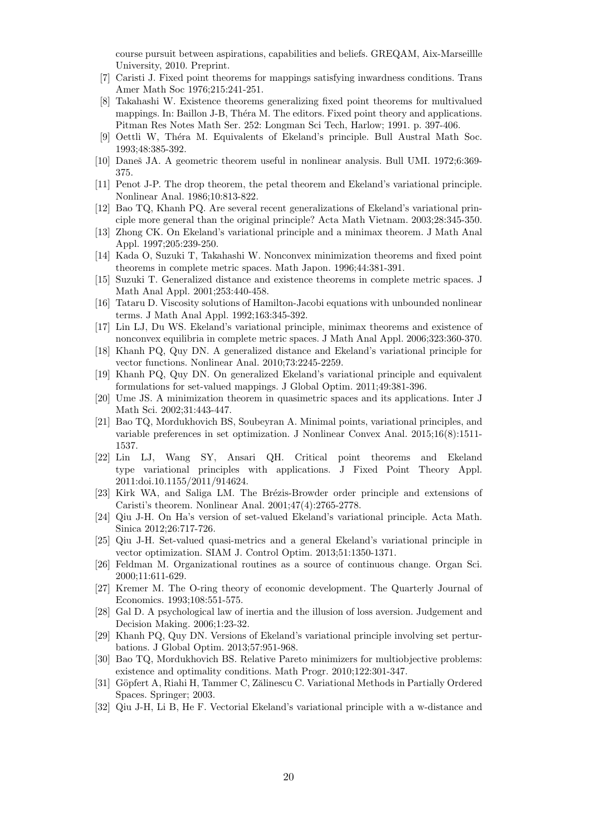course pursuit between aspirations, capabilities and beliefs. GREQAM, Aix-Marseillle University, 2010. Preprint.

- [7] Caristi J. Fixed point theorems for mappings satisfying inwardness conditions. Trans Amer Math Soc 1976;215:241-251.
- [8] Takahashi W. Existence theorems generalizing fixed point theorems for multivalued mappings. In: Baillon J-B, Théra M. The editors. Fixed point theory and applications. Pitman Res Notes Math Ser. 252: Longman Sci Tech, Harlow; 1991. p. 397-406.
- [9] Oettli W, Théra M. Equivalents of Ekeland's principle. Bull Austral Math Soc. 1993;48:385-392.
- [10] Daneš JA. A geometric theorem useful in nonlinear analysis. Bull UMI. 1972;6:369-375.
- [11] Penot J-P. The drop theorem, the petal theorem and Ekeland's variational principle. Nonlinear Anal. 1986;10:813-822.
- [12] Bao TQ, Khanh PQ. Are several recent generalizations of Ekeland's variational principle more general than the original principle? Acta Math Vietnam. 2003;28:345-350.
- [13] Zhong CK. On Ekeland's variational principle and a minimax theorem. J Math Anal Appl. 1997;205:239-250.
- [14] Kada O, Suzuki T, Takahashi W. Nonconvex minimization theorems and fixed point theorems in complete metric spaces. Math Japon. 1996;44:381-391.
- [15] Suzuki T. Generalized distance and existence theorems in complete metric spaces. J Math Anal Appl. 2001;253:440-458.
- [16] Tataru D. Viscosity solutions of Hamilton-Jacobi equations with unbounded nonlinear terms. J Math Anal Appl. 1992;163:345-392.
- [17] Lin LJ, Du WS. Ekeland's variational principle, minimax theorems and existence of nonconvex equilibria in complete metric spaces. J Math Anal Appl. 2006;323:360-370.
- [18] Khanh PQ, Quy DN. A generalized distance and Ekeland's variational principle for vector functions. Nonlinear Anal. 2010;73:2245-2259.
- [19] Khanh PQ, Quy DN. On generalized Ekeland's variational principle and equivalent formulations for set-valued mappings. J Global Optim. 2011;49:381-396.
- [20] Ume JS. A minimization theorem in quasimetric spaces and its applications. Inter J Math Sci. 2002;31:443-447.
- [21] Bao TQ, Mordukhovich BS, Soubeyran A. Minimal points, variational principles, and variable preferences in set optimization. J Nonlinear Convex Anal. 2015;16(8):1511- 1537.
- [22] Lin LJ, Wang SY, Ansari QH. Critical point theorems and Ekeland type variational principles with applications. J Fixed Point Theory Appl. 2011:doi.10.1155/2011/914624.
- [23] Kirk WA, and Saliga LM. The Brézis-Browder order principle and extensions of Caristi's theorem. Nonlinear Anal. 2001;47(4):2765-2778.
- [24] Qiu J-H. On Ha's version of set-valued Ekeland's variational principle. Acta Math. Sinica 2012;26:717-726.
- [25] Qiu J-H. Set-valued quasi-metrics and a general Ekeland's variational principle in vector optimization. SIAM J. Control Optim. 2013;51:1350-1371.
- [26] Feldman M. Organizational routines as a source of continuous change. Organ Sci. 2000;11:611-629.
- [27] Kremer M. The O-ring theory of economic development. The Quarterly Journal of Economics. 1993;108:551-575.
- [28] Gal D. A psychological law of inertia and the illusion of loss aversion. Judgement and Decision Making. 2006;1:23-32.
- [29] Khanh PQ, Quy DN. Versions of Ekeland's variational principle involving set perturbations. J Global Optim. 2013;57:951-968.
- [30] Bao TQ, Mordukhovich BS. Relative Pareto minimizers for multiobjective problems: existence and optimality conditions. Math Progr. 2010;122:301-347.
- [31] Göpfert A, Riahi H, Tammer C, Zălinescu C. Variational Methods in Partially Ordered Spaces. Springer; 2003.
- [32] Qiu J-H, Li B, He F. Vectorial Ekeland's variational principle with a w-distance and